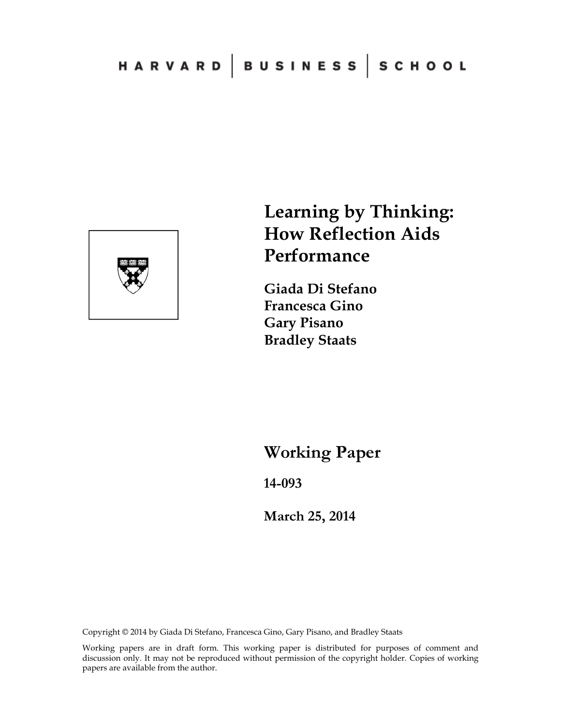

# **Learning by Thinking: How Reflection Aids Performance**

**Giada Di Stefano Francesca Gino Gary Pisano Bradley Staats** 

**Working Paper** 

**14-093** 

**March 25, 2014**

Copyright © 2014 by Giada Di Stefano, Francesca Gino, Gary Pisano, and Bradley Staats

Working papers are in draft form. This working paper is distributed for purposes of comment and discussion only. It may not be reproduced without permission of the copyright holder. Copies of working papers are available from the author.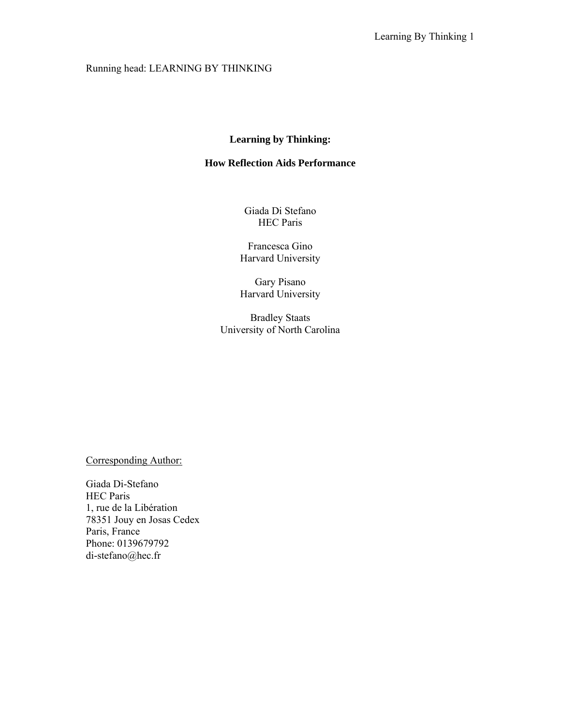# Running head: LEARNING BY THINKING

# **Learning by Thinking:**

# **How Reflection Aids Performance**

Giada Di Stefano HEC Paris

Francesca Gino Harvard University

Gary Pisano Harvard University

Bradley Staats University of North Carolina

Corresponding Author:

Giada Di-Stefano HEC Paris 1, rue de la Libération 78351 Jouy en Josas Cedex Paris, France Phone: 0139679792 di-stefano@hec.fr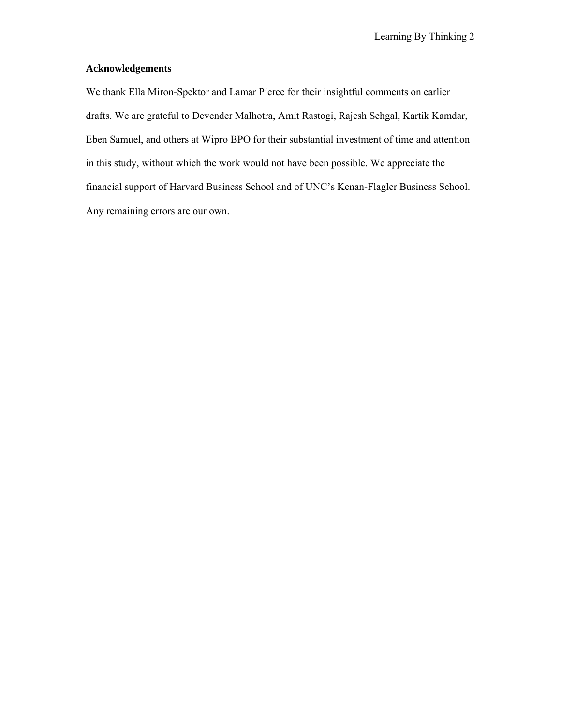## **Acknowledgements**

We thank Ella Miron-Spektor and Lamar Pierce for their insightful comments on earlier drafts. We are grateful to Devender Malhotra, Amit Rastogi, Rajesh Sehgal, Kartik Kamdar, Eben Samuel, and others at Wipro BPO for their substantial investment of time and attention in this study, without which the work would not have been possible. We appreciate the financial support of Harvard Business School and of UNC's Kenan-Flagler Business School. Any remaining errors are our own.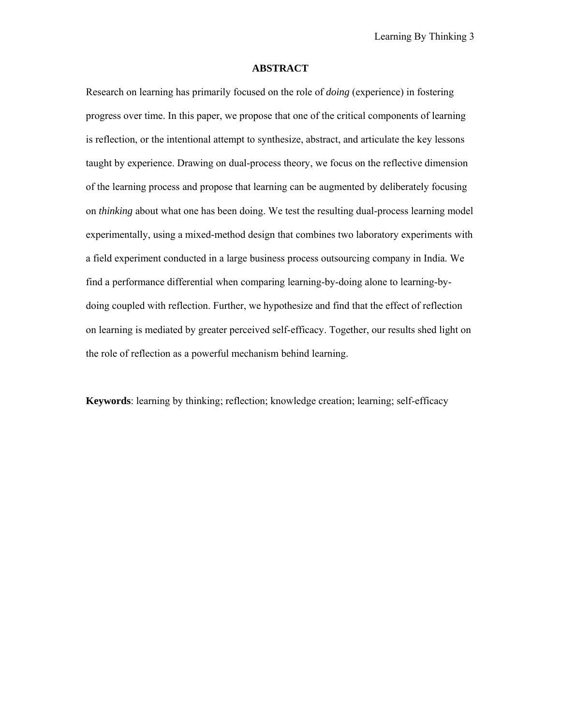#### **ABSTRACT**

Research on learning has primarily focused on the role of *doing* (experience) in fostering progress over time. In this paper, we propose that one of the critical components of learning is reflection, or the intentional attempt to synthesize, abstract, and articulate the key lessons taught by experience. Drawing on dual-process theory, we focus on the reflective dimension of the learning process and propose that learning can be augmented by deliberately focusing on *thinking* about what one has been doing. We test the resulting dual-process learning model experimentally, using a mixed-method design that combines two laboratory experiments with a field experiment conducted in a large business process outsourcing company in India. We find a performance differential when comparing learning-by-doing alone to learning-bydoing coupled with reflection. Further, we hypothesize and find that the effect of reflection on learning is mediated by greater perceived self-efficacy. Together, our results shed light on the role of reflection as a powerful mechanism behind learning.

**Keywords**: learning by thinking; reflection; knowledge creation; learning; self-efficacy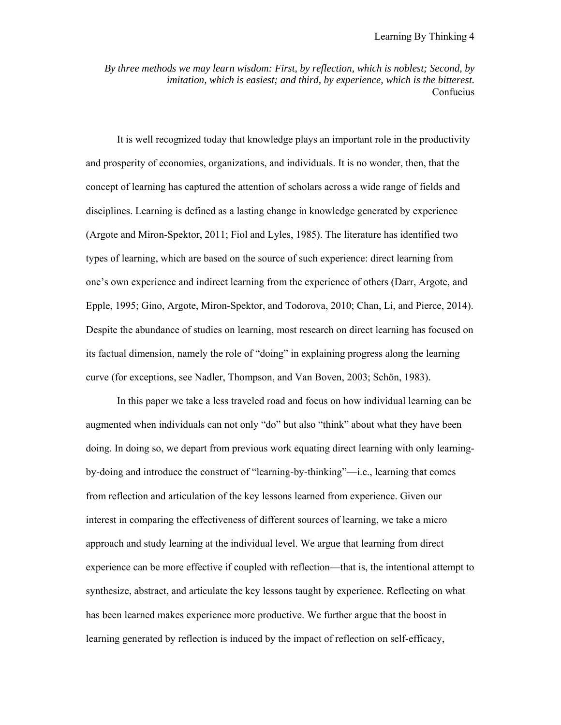*By three methods we may learn wisdom: First, by reflection, which is noblest; Second, by imitation, which is easiest; and third, by experience, which is the bitterest.*  Confucius

It is well recognized today that knowledge plays an important role in the productivity and prosperity of economies, organizations, and individuals. It is no wonder, then, that the concept of learning has captured the attention of scholars across a wide range of fields and disciplines. Learning is defined as a lasting change in knowledge generated by experience (Argote and Miron-Spektor, 2011; Fiol and Lyles, 1985). The literature has identified two types of learning, which are based on the source of such experience: direct learning from one's own experience and indirect learning from the experience of others (Darr, Argote, and Epple, 1995; Gino, Argote, Miron-Spektor, and Todorova, 2010; Chan, Li, and Pierce, 2014). Despite the abundance of studies on learning, most research on direct learning has focused on its factual dimension, namely the role of "doing" in explaining progress along the learning curve (for exceptions, see Nadler, Thompson, and Van Boven, 2003; Schön, 1983).

In this paper we take a less traveled road and focus on how individual learning can be augmented when individuals can not only "do" but also "think" about what they have been doing. In doing so, we depart from previous work equating direct learning with only learningby-doing and introduce the construct of "learning-by-thinking"—i.e., learning that comes from reflection and articulation of the key lessons learned from experience. Given our interest in comparing the effectiveness of different sources of learning, we take a micro approach and study learning at the individual level. We argue that learning from direct experience can be more effective if coupled with reflection—that is, the intentional attempt to synthesize, abstract, and articulate the key lessons taught by experience. Reflecting on what has been learned makes experience more productive. We further argue that the boost in learning generated by reflection is induced by the impact of reflection on self-efficacy,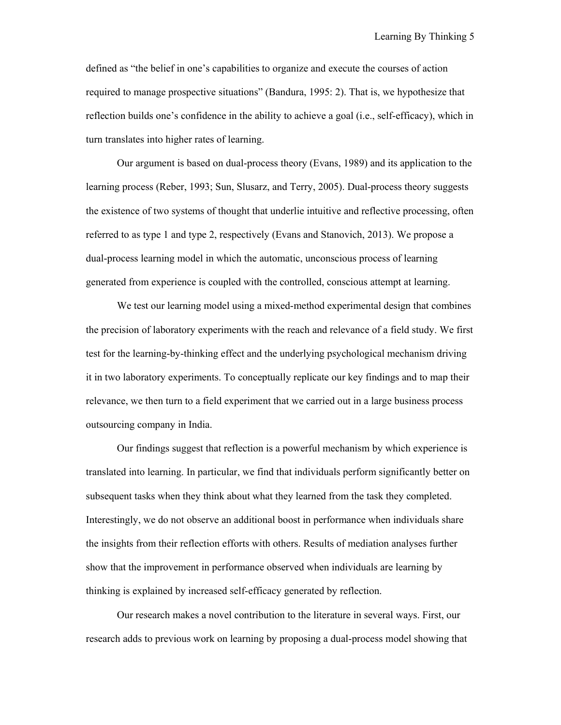defined as "the belief in one's capabilities to organize and execute the courses of action required to manage prospective situations" (Bandura, 1995: 2). That is, we hypothesize that reflection builds one's confidence in the ability to achieve a goal (i.e., self-efficacy), which in turn translates into higher rates of learning.

Our argument is based on dual-process theory (Evans, 1989) and its application to the learning process (Reber, 1993; Sun, Slusarz, and Terry, 2005). Dual-process theory suggests the existence of two systems of thought that underlie intuitive and reflective processing, often referred to as type 1 and type 2, respectively (Evans and Stanovich, 2013). We propose a dual-process learning model in which the automatic, unconscious process of learning generated from experience is coupled with the controlled, conscious attempt at learning.

We test our learning model using a mixed-method experimental design that combines the precision of laboratory experiments with the reach and relevance of a field study. We first test for the learning-by-thinking effect and the underlying psychological mechanism driving it in two laboratory experiments. To conceptually replicate our key findings and to map their relevance, we then turn to a field experiment that we carried out in a large business process outsourcing company in India.

Our findings suggest that reflection is a powerful mechanism by which experience is translated into learning. In particular, we find that individuals perform significantly better on subsequent tasks when they think about what they learned from the task they completed. Interestingly, we do not observe an additional boost in performance when individuals share the insights from their reflection efforts with others. Results of mediation analyses further show that the improvement in performance observed when individuals are learning by thinking is explained by increased self-efficacy generated by reflection.

Our research makes a novel contribution to the literature in several ways. First, our research adds to previous work on learning by proposing a dual-process model showing that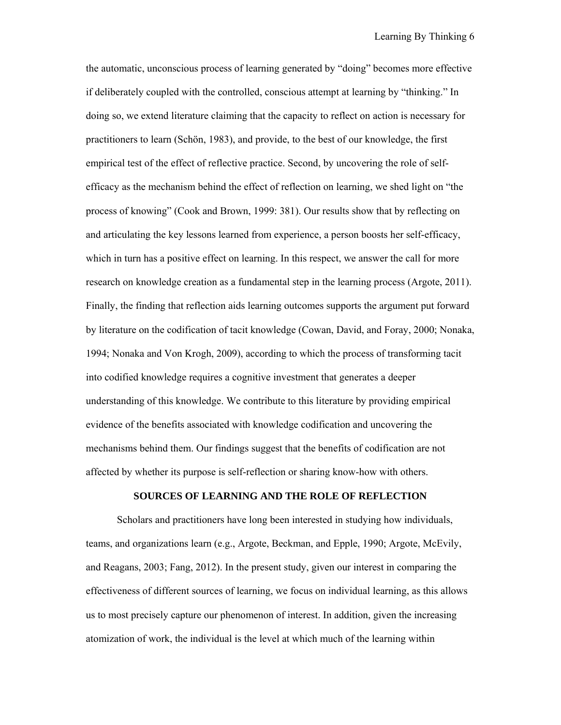the automatic, unconscious process of learning generated by "doing" becomes more effective if deliberately coupled with the controlled, conscious attempt at learning by "thinking." In doing so, we extend literature claiming that the capacity to reflect on action is necessary for practitioners to learn (Schön, 1983), and provide, to the best of our knowledge, the first empirical test of the effect of reflective practice. Second, by uncovering the role of selfefficacy as the mechanism behind the effect of reflection on learning, we shed light on "the process of knowing" (Cook and Brown, 1999: 381). Our results show that by reflecting on and articulating the key lessons learned from experience, a person boosts her self-efficacy, which in turn has a positive effect on learning. In this respect, we answer the call for more research on knowledge creation as a fundamental step in the learning process (Argote, 2011). Finally, the finding that reflection aids learning outcomes supports the argument put forward by literature on the codification of tacit knowledge (Cowan, David, and Foray, 2000; Nonaka, 1994; Nonaka and Von Krogh, 2009), according to which the process of transforming tacit into codified knowledge requires a cognitive investment that generates a deeper understanding of this knowledge. We contribute to this literature by providing empirical evidence of the benefits associated with knowledge codification and uncovering the mechanisms behind them. Our findings suggest that the benefits of codification are not affected by whether its purpose is self-reflection or sharing know-how with others.

#### **SOURCES OF LEARNING AND THE ROLE OF REFLECTION**

Scholars and practitioners have long been interested in studying how individuals, teams, and organizations learn (e.g., Argote, Beckman, and Epple, 1990; Argote, McEvily, and Reagans, 2003; Fang, 2012). In the present study, given our interest in comparing the effectiveness of different sources of learning, we focus on individual learning, as this allows us to most precisely capture our phenomenon of interest. In addition, given the increasing atomization of work, the individual is the level at which much of the learning within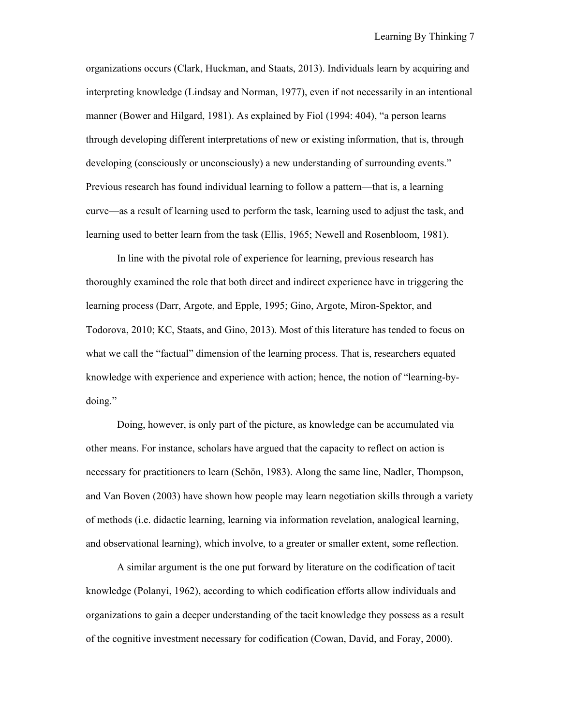organizations occurs (Clark, Huckman, and Staats, 2013). Individuals learn by acquiring and interpreting knowledge (Lindsay and Norman, 1977), even if not necessarily in an intentional manner (Bower and Hilgard, 1981). As explained by Fiol (1994: 404), "a person learns through developing different interpretations of new or existing information, that is, through developing (consciously or unconsciously) a new understanding of surrounding events." Previous research has found individual learning to follow a pattern—that is, a learning curve—as a result of learning used to perform the task, learning used to adjust the task, and learning used to better learn from the task (Ellis, 1965; Newell and Rosenbloom, 1981).

In line with the pivotal role of experience for learning, previous research has thoroughly examined the role that both direct and indirect experience have in triggering the learning process (Darr, Argote, and Epple, 1995; Gino, Argote, Miron-Spektor, and Todorova, 2010; KC, Staats, and Gino, 2013). Most of this literature has tended to focus on what we call the "factual" dimension of the learning process. That is, researchers equated knowledge with experience and experience with action; hence, the notion of "learning-bydoing."

Doing, however, is only part of the picture, as knowledge can be accumulated via other means. For instance, scholars have argued that the capacity to reflect on action is necessary for practitioners to learn (Schön, 1983). Along the same line, Nadler, Thompson, and Van Boven (2003) have shown how people may learn negotiation skills through a variety of methods (i.e. didactic learning, learning via information revelation, analogical learning, and observational learning), which involve, to a greater or smaller extent, some reflection.

A similar argument is the one put forward by literature on the codification of tacit knowledge (Polanyi, 1962), according to which codification efforts allow individuals and organizations to gain a deeper understanding of the tacit knowledge they possess as a result of the cognitive investment necessary for codification (Cowan, David, and Foray, 2000).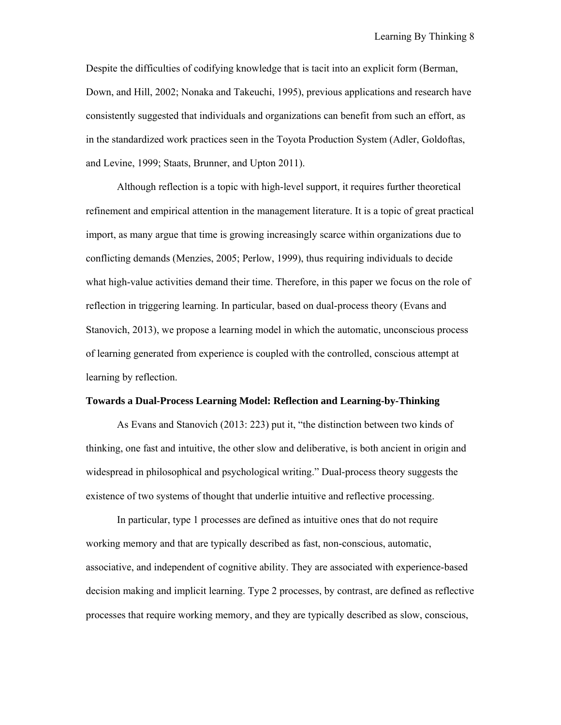Despite the difficulties of codifying knowledge that is tacit into an explicit form (Berman, Down, and Hill, 2002; Nonaka and Takeuchi, 1995), previous applications and research have consistently suggested that individuals and organizations can benefit from such an effort, as in the standardized work practices seen in the Toyota Production System (Adler, Goldoftas, and Levine, 1999; Staats, Brunner, and Upton 2011).

Although reflection is a topic with high-level support, it requires further theoretical refinement and empirical attention in the management literature. It is a topic of great practical import, as many argue that time is growing increasingly scarce within organizations due to conflicting demands (Menzies, 2005; Perlow, 1999), thus requiring individuals to decide what high-value activities demand their time. Therefore, in this paper we focus on the role of reflection in triggering learning. In particular, based on dual-process theory (Evans and Stanovich, 2013), we propose a learning model in which the automatic, unconscious process of learning generated from experience is coupled with the controlled, conscious attempt at learning by reflection.

#### **Towards a Dual-Process Learning Model: Reflection and Learning-by-Thinking**

As Evans and Stanovich (2013: 223) put it, "the distinction between two kinds of thinking, one fast and intuitive, the other slow and deliberative, is both ancient in origin and widespread in philosophical and psychological writing." Dual-process theory suggests the existence of two systems of thought that underlie intuitive and reflective processing.

In particular, type 1 processes are defined as intuitive ones that do not require working memory and that are typically described as fast, non-conscious, automatic, associative, and independent of cognitive ability. They are associated with experience-based decision making and implicit learning. Type 2 processes, by contrast, are defined as reflective processes that require working memory, and they are typically described as slow, conscious,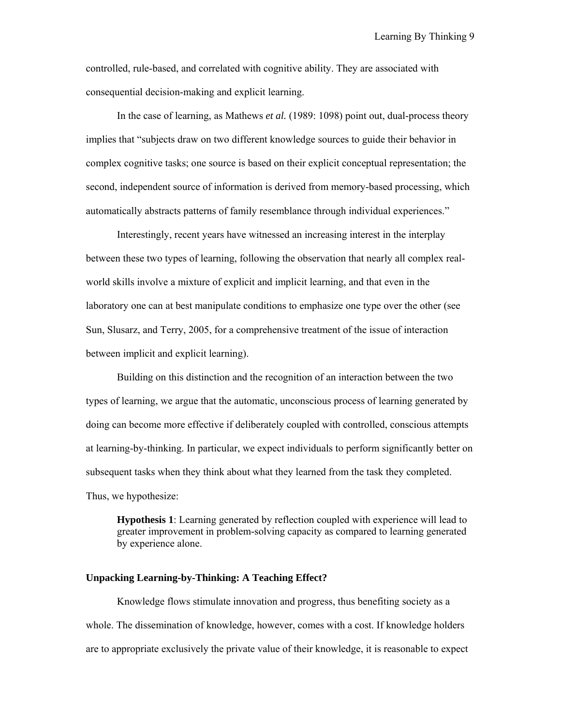controlled, rule-based, and correlated with cognitive ability. They are associated with consequential decision-making and explicit learning.

In the case of learning, as Mathews *et al.* (1989: 1098) point out, dual-process theory implies that "subjects draw on two different knowledge sources to guide their behavior in complex cognitive tasks; one source is based on their explicit conceptual representation; the second, independent source of information is derived from memory-based processing, which automatically abstracts patterns of family resemblance through individual experiences."

Interestingly, recent years have witnessed an increasing interest in the interplay between these two types of learning, following the observation that nearly all complex realworld skills involve a mixture of explicit and implicit learning, and that even in the laboratory one can at best manipulate conditions to emphasize one type over the other (see Sun, Slusarz, and Terry, 2005, for a comprehensive treatment of the issue of interaction between implicit and explicit learning).

Building on this distinction and the recognition of an interaction between the two types of learning, we argue that the automatic, unconscious process of learning generated by doing can become more effective if deliberately coupled with controlled, conscious attempts at learning-by-thinking. In particular, we expect individuals to perform significantly better on subsequent tasks when they think about what they learned from the task they completed. Thus, we hypothesize:

**Hypothesis 1**: Learning generated by reflection coupled with experience will lead to greater improvement in problem-solving capacity as compared to learning generated by experience alone.

#### **Unpacking Learning-by-Thinking: A Teaching Effect?**

Knowledge flows stimulate innovation and progress, thus benefiting society as a whole. The dissemination of knowledge, however, comes with a cost. If knowledge holders are to appropriate exclusively the private value of their knowledge, it is reasonable to expect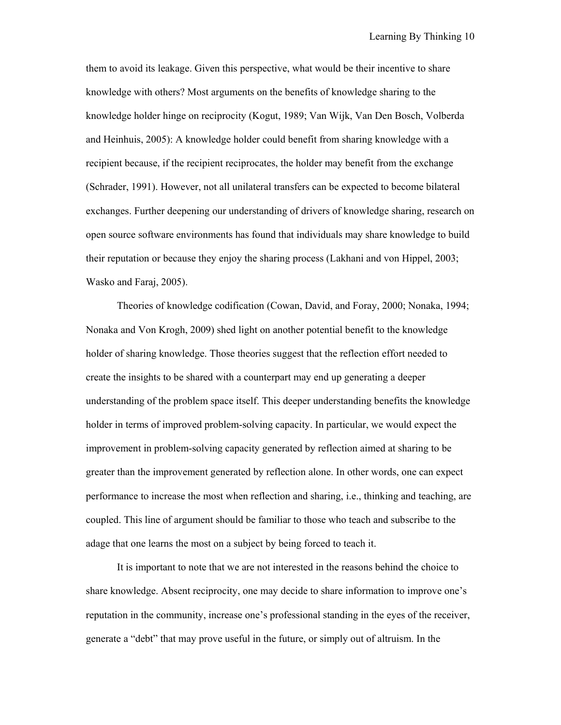them to avoid its leakage. Given this perspective, what would be their incentive to share knowledge with others? Most arguments on the benefits of knowledge sharing to the knowledge holder hinge on reciprocity (Kogut, 1989; Van Wijk, Van Den Bosch, Volberda and Heinhuis, 2005): A knowledge holder could benefit from sharing knowledge with a recipient because, if the recipient reciprocates, the holder may benefit from the exchange (Schrader, 1991). However, not all unilateral transfers can be expected to become bilateral exchanges. Further deepening our understanding of drivers of knowledge sharing, research on open source software environments has found that individuals may share knowledge to build their reputation or because they enjoy the sharing process (Lakhani and von Hippel, 2003; Wasko and Faraj, 2005).

Theories of knowledge codification (Cowan, David, and Foray, 2000; Nonaka, 1994; Nonaka and Von Krogh, 2009) shed light on another potential benefit to the knowledge holder of sharing knowledge. Those theories suggest that the reflection effort needed to create the insights to be shared with a counterpart may end up generating a deeper understanding of the problem space itself. This deeper understanding benefits the knowledge holder in terms of improved problem-solving capacity. In particular, we would expect the improvement in problem-solving capacity generated by reflection aimed at sharing to be greater than the improvement generated by reflection alone. In other words, one can expect performance to increase the most when reflection and sharing, i.e., thinking and teaching, are coupled. This line of argument should be familiar to those who teach and subscribe to the adage that one learns the most on a subject by being forced to teach it.

It is important to note that we are not interested in the reasons behind the choice to share knowledge. Absent reciprocity, one may decide to share information to improve one's reputation in the community, increase one's professional standing in the eyes of the receiver, generate a "debt" that may prove useful in the future, or simply out of altruism. In the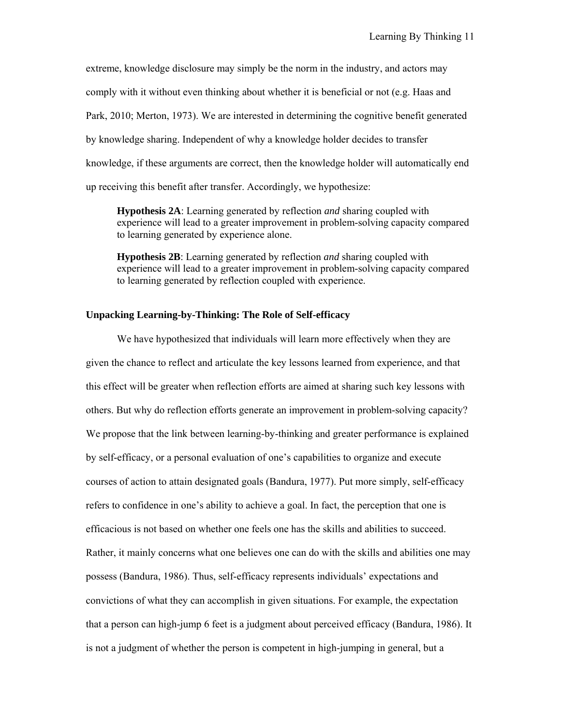extreme, knowledge disclosure may simply be the norm in the industry, and actors may comply with it without even thinking about whether it is beneficial or not (e.g. Haas and Park, 2010; Merton, 1973). We are interested in determining the cognitive benefit generated by knowledge sharing. Independent of why a knowledge holder decides to transfer knowledge, if these arguments are correct, then the knowledge holder will automatically end up receiving this benefit after transfer. Accordingly, we hypothesize:

**Hypothesis 2A**: Learning generated by reflection *and* sharing coupled with experience will lead to a greater improvement in problem-solving capacity compared to learning generated by experience alone.

**Hypothesis 2B**: Learning generated by reflection *and* sharing coupled with experience will lead to a greater improvement in problem-solving capacity compared to learning generated by reflection coupled with experience.

## **Unpacking Learning-by-Thinking: The Role of Self-efficacy**

We have hypothesized that individuals will learn more effectively when they are given the chance to reflect and articulate the key lessons learned from experience, and that this effect will be greater when reflection efforts are aimed at sharing such key lessons with others. But why do reflection efforts generate an improvement in problem-solving capacity? We propose that the link between learning-by-thinking and greater performance is explained by self-efficacy, or a personal evaluation of one's capabilities to organize and execute courses of action to attain designated goals (Bandura, 1977). Put more simply, self-efficacy refers to confidence in one's ability to achieve a goal. In fact, the perception that one is efficacious is not based on whether one feels one has the skills and abilities to succeed. Rather, it mainly concerns what one believes one can do with the skills and abilities one may possess (Bandura, 1986). Thus, self-efficacy represents individuals' expectations and convictions of what they can accomplish in given situations. For example, the expectation that a person can high-jump 6 feet is a judgment about perceived efficacy (Bandura, 1986). It is not a judgment of whether the person is competent in high-jumping in general, but a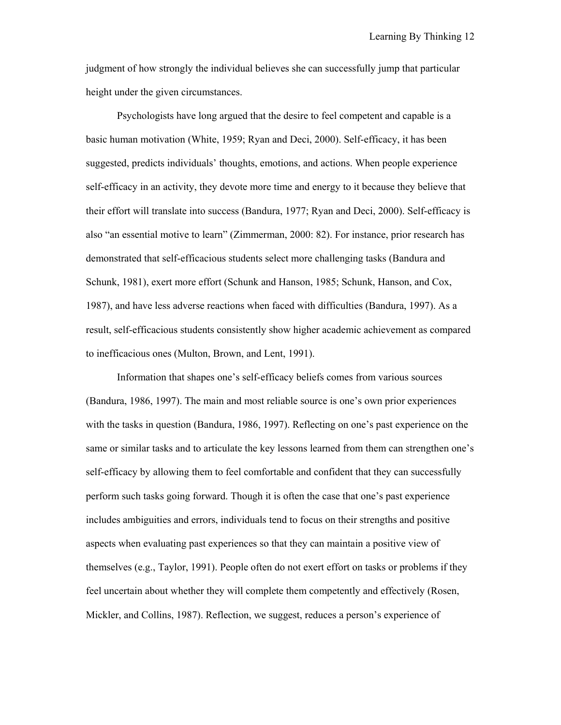judgment of how strongly the individual believes she can successfully jump that particular height under the given circumstances.

Psychologists have long argued that the desire to feel competent and capable is a basic human motivation (White, 1959; Ryan and Deci, 2000). Self-efficacy, it has been suggested, predicts individuals' thoughts, emotions, and actions. When people experience self-efficacy in an activity, they devote more time and energy to it because they believe that their effort will translate into success (Bandura, 1977; Ryan and Deci, 2000). Self-efficacy is also "an essential motive to learn" (Zimmerman, 2000: 82). For instance, prior research has demonstrated that self-efficacious students select more challenging tasks (Bandura and Schunk, 1981), exert more effort (Schunk and Hanson, 1985; Schunk, Hanson, and Cox, 1987), and have less adverse reactions when faced with difficulties (Bandura, 1997). As a result, self-efficacious students consistently show higher academic achievement as compared to inefficacious ones (Multon, Brown, and Lent, 1991).

Information that shapes one's self-efficacy beliefs comes from various sources (Bandura, 1986, 1997). The main and most reliable source is one's own prior experiences with the tasks in question (Bandura, 1986, 1997). Reflecting on one's past experience on the same or similar tasks and to articulate the key lessons learned from them can strengthen one's self-efficacy by allowing them to feel comfortable and confident that they can successfully perform such tasks going forward. Though it is often the case that one's past experience includes ambiguities and errors, individuals tend to focus on their strengths and positive aspects when evaluating past experiences so that they can maintain a positive view of themselves (e.g., Taylor, 1991). People often do not exert effort on tasks or problems if they feel uncertain about whether they will complete them competently and effectively (Rosen, Mickler, and Collins, 1987). Reflection, we suggest, reduces a person's experience of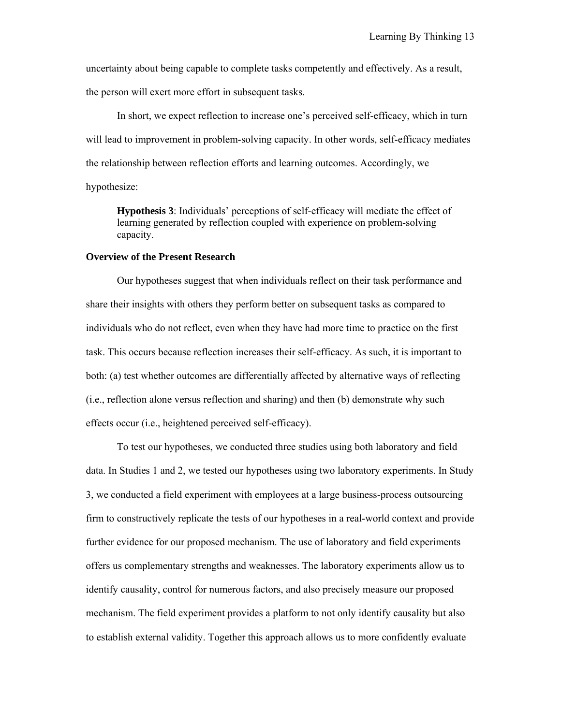uncertainty about being capable to complete tasks competently and effectively. As a result, the person will exert more effort in subsequent tasks.

In short, we expect reflection to increase one's perceived self-efficacy, which in turn will lead to improvement in problem-solving capacity. In other words, self-efficacy mediates the relationship between reflection efforts and learning outcomes. Accordingly, we hypothesize:

**Hypothesis 3**: Individuals' perceptions of self-efficacy will mediate the effect of learning generated by reflection coupled with experience on problem-solving capacity.

## **Overview of the Present Research**

Our hypotheses suggest that when individuals reflect on their task performance and share their insights with others they perform better on subsequent tasks as compared to individuals who do not reflect, even when they have had more time to practice on the first task. This occurs because reflection increases their self-efficacy. As such, it is important to both: (a) test whether outcomes are differentially affected by alternative ways of reflecting (i.e., reflection alone versus reflection and sharing) and then (b) demonstrate why such effects occur (i.e., heightened perceived self-efficacy).

To test our hypotheses, we conducted three studies using both laboratory and field data. In Studies 1 and 2, we tested our hypotheses using two laboratory experiments. In Study 3, we conducted a field experiment with employees at a large business-process outsourcing firm to constructively replicate the tests of our hypotheses in a real-world context and provide further evidence for our proposed mechanism. The use of laboratory and field experiments offers us complementary strengths and weaknesses. The laboratory experiments allow us to identify causality, control for numerous factors, and also precisely measure our proposed mechanism. The field experiment provides a platform to not only identify causality but also to establish external validity. Together this approach allows us to more confidently evaluate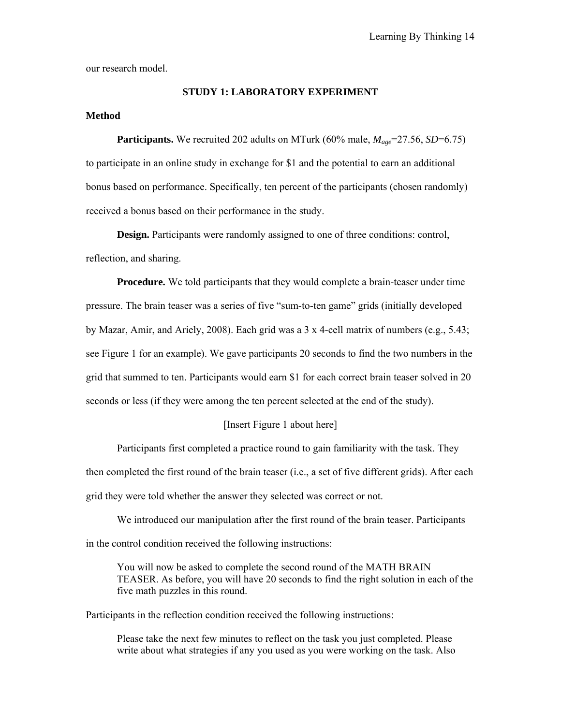our research model.

## **STUDY 1: LABORATORY EXPERIMENT**

## **Method**

**Participants.** We recruited 202 adults on MTurk (60% male,  $M_{\text{age}} = 27.56$ , *SD*=6.75) to participate in an online study in exchange for \$1 and the potential to earn an additional bonus based on performance. Specifically, ten percent of the participants (chosen randomly) received a bonus based on their performance in the study.

**Design.** Participants were randomly assigned to one of three conditions: control, reflection, and sharing.

**Procedure.** We told participants that they would complete a brain-teaser under time pressure. The brain teaser was a series of five "sum-to-ten game" grids (initially developed by Mazar, Amir, and Ariely, 2008). Each grid was a 3 x 4-cell matrix of numbers (e.g., 5.43; see Figure 1 for an example). We gave participants 20 seconds to find the two numbers in the grid that summed to ten. Participants would earn \$1 for each correct brain teaser solved in 20 seconds or less (if they were among the ten percent selected at the end of the study).

## [Insert Figure 1 about here]

Participants first completed a practice round to gain familiarity with the task. They then completed the first round of the brain teaser (i.e., a set of five different grids). After each grid they were told whether the answer they selected was correct or not.

We introduced our manipulation after the first round of the brain teaser. Participants in the control condition received the following instructions:

You will now be asked to complete the second round of the MATH BRAIN TEASER. As before, you will have 20 seconds to find the right solution in each of the five math puzzles in this round.

Participants in the reflection condition received the following instructions:

Please take the next few minutes to reflect on the task you just completed. Please write about what strategies if any you used as you were working on the task. Also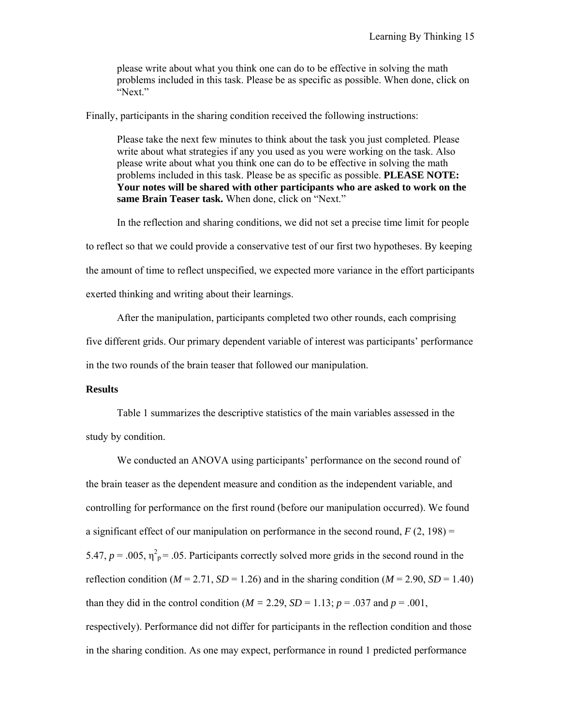please write about what you think one can do to be effective in solving the math problems included in this task. Please be as specific as possible. When done, click on "Next."

Finally, participants in the sharing condition received the following instructions:

Please take the next few minutes to think about the task you just completed. Please write about what strategies if any you used as you were working on the task. Also please write about what you think one can do to be effective in solving the math problems included in this task. Please be as specific as possible. **PLEASE NOTE: Your notes will be shared with other participants who are asked to work on the same Brain Teaser task.** When done, click on "Next."

In the reflection and sharing conditions, we did not set a precise time limit for people to reflect so that we could provide a conservative test of our first two hypotheses. By keeping the amount of time to reflect unspecified, we expected more variance in the effort participants exerted thinking and writing about their learnings.

After the manipulation, participants completed two other rounds, each comprising five different grids. Our primary dependent variable of interest was participants' performance in the two rounds of the brain teaser that followed our manipulation.

## **Results**

Table 1 summarizes the descriptive statistics of the main variables assessed in the study by condition.

We conducted an ANOVA using participants' performance on the second round of the brain teaser as the dependent measure and condition as the independent variable, and controlling for performance on the first round (before our manipulation occurred). We found a significant effect of our manipulation on performance in the second round,  $F(2, 198) =$ 5.47,  $p = 0.005$ ,  $\eta_p^2 = 0.05$ . Participants correctly solved more grids in the second round in the reflection condition ( $M = 2.71$ ,  $SD = 1.26$ ) and in the sharing condition ( $M = 2.90$ ,  $SD = 1.40$ ) than they did in the control condition ( $M = 2.29$ ,  $SD = 1.13$ ;  $p = .037$  and  $p = .001$ , respectively). Performance did not differ for participants in the reflection condition and those in the sharing condition. As one may expect, performance in round 1 predicted performance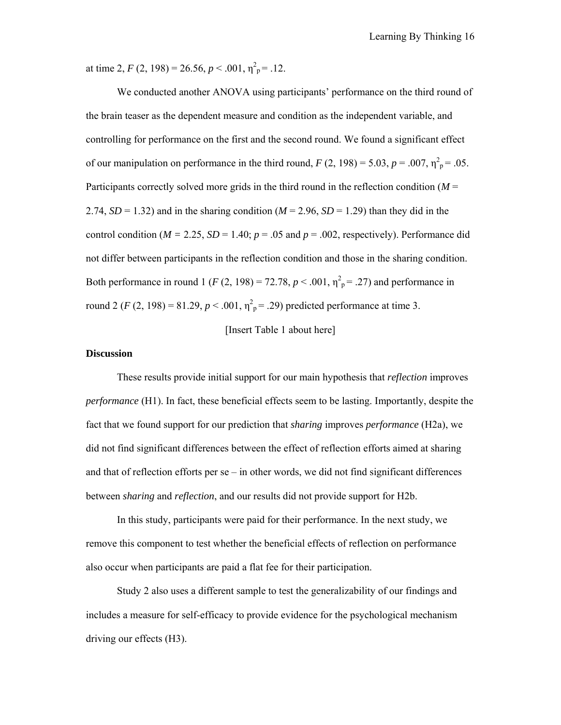at time 2,  $F(2, 198) = 26.56, p < .001, \eta^2_p = .12$ .

We conducted another ANOVA using participants' performance on the third round of the brain teaser as the dependent measure and condition as the independent variable, and controlling for performance on the first and the second round. We found a significant effect of our manipulation on performance in the third round,  $F(2, 198) = 5.03$ ,  $p = .007$ ,  $\eta_p^2 = .05$ . Participants correctly solved more grids in the third round in the reflection condition (*M* = 2.74,  $SD = 1.32$ ) and in the sharing condition ( $M = 2.96$ ,  $SD = 1.29$ ) than they did in the control condition ( $M = 2.25$ ,  $SD = 1.40$ ;  $p = .05$  and  $p = .002$ , respectively). Performance did not differ between participants in the reflection condition and those in the sharing condition. Both performance in round 1 (*F* (2, 198) = 72.78,  $p < .001$ ,  $\eta_{p}^{2} = .27$ ) and performance in round 2 (*F* (2, 198) = 81.29,  $p < .001$ ,  $\eta_{p}^{2} = .29$ ) predicted performance at time 3.

## [Insert Table 1 about here]

## **Discussion**

These results provide initial support for our main hypothesis that *reflection* improves *performance* (H1). In fact, these beneficial effects seem to be lasting. Importantly, despite the fact that we found support for our prediction that *sharing* improves *performance* (H2a), we did not find significant differences between the effect of reflection efforts aimed at sharing and that of reflection efforts per se – in other words, we did not find significant differences between *sharing* and *reflection*, and our results did not provide support for H2b.

In this study, participants were paid for their performance. In the next study, we remove this component to test whether the beneficial effects of reflection on performance also occur when participants are paid a flat fee for their participation.

Study 2 also uses a different sample to test the generalizability of our findings and includes a measure for self-efficacy to provide evidence for the psychological mechanism driving our effects (H3).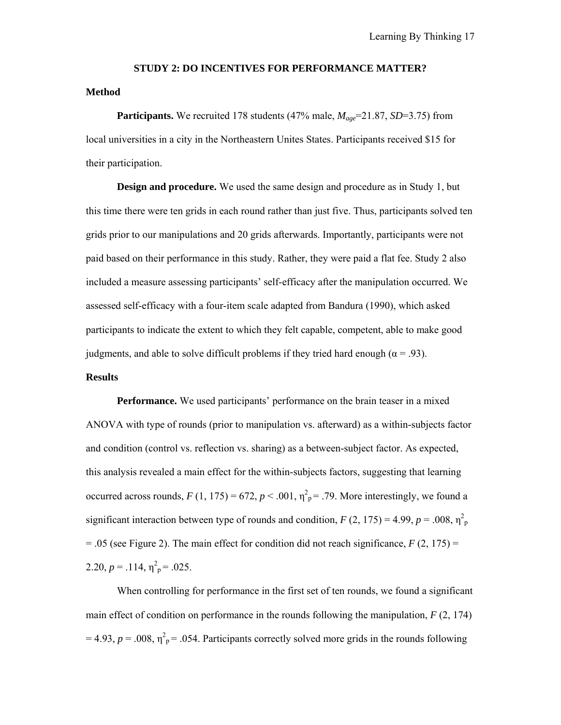#### **STUDY 2: DO INCENTIVES FOR PERFORMANCE MATTER?**

## **Method**

**Participants.** We recruited 178 students (47% male,  $M_{age}$ =21.87, *SD*=3.75) from local universities in a city in the Northeastern Unites States. Participants received \$15 for their participation.

**Design and procedure.** We used the same design and procedure as in Study 1, but this time there were ten grids in each round rather than just five. Thus, participants solved ten grids prior to our manipulations and 20 grids afterwards. Importantly, participants were not paid based on their performance in this study. Rather, they were paid a flat fee. Study 2 also included a measure assessing participants' self-efficacy after the manipulation occurred. We assessed self-efficacy with a four-item scale adapted from Bandura (1990), which asked participants to indicate the extent to which they felt capable, competent, able to make good judgments, and able to solve difficult problems if they tried hard enough ( $\alpha$  = .93).

# **Results**

**Performance.** We used participants' performance on the brain teaser in a mixed ANOVA with type of rounds (prior to manipulation vs. afterward) as a within-subjects factor and condition (control vs. reflection vs. sharing) as a between-subject factor. As expected, this analysis revealed a main effect for the within-subjects factors, suggesting that learning occurred across rounds,  $F(1, 175) = 672$ ,  $p < .001$ ,  $\eta_p^2 = .79$ . More interestingly, we found a significant interaction between type of rounds and condition,  $F(2, 175) = 4.99$ ,  $p = .008$ ,  $\eta_p^2$  $= .05$  (see Figure 2). The main effect for condition did not reach significance,  $F(2, 175) =$ 2.20,  $p = .114$ ,  $\eta_p^2 = .025$ .

When controlling for performance in the first set of ten rounds, we found a significant main effect of condition on performance in the rounds following the manipulation, *F* (2, 174)  $= 4.93$ ,  $p = .008$ ,  $\eta^2$ <sub>p</sub> = .054. Participants correctly solved more grids in the rounds following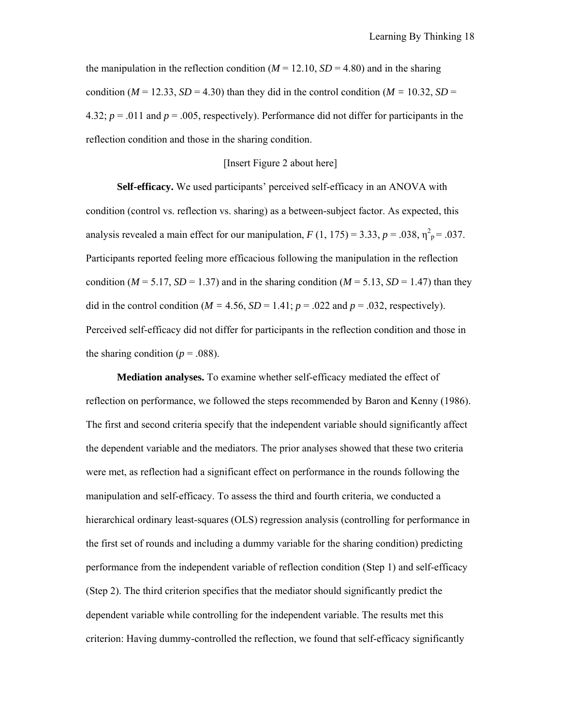the manipulation in the reflection condition ( $M = 12.10$ ,  $SD = 4.80$ ) and in the sharing condition ( $M = 12.33$ ,  $SD = 4.30$ ) than they did in the control condition ( $M = 10.32$ ,  $SD =$ 4.32;  $p = 0.011$  and  $p = 0.005$ , respectively). Performance did not differ for participants in the reflection condition and those in the sharing condition.

## [Insert Figure 2 about here]

**Self-efficacy.** We used participants' perceived self-efficacy in an ANOVA with condition (control vs. reflection vs. sharing) as a between-subject factor. As expected, this analysis revealed a main effect for our manipulation,  $F(1, 175) = 3.33$ ,  $p = .038$ ,  $\eta^2_p = .037$ . Participants reported feeling more efficacious following the manipulation in the reflection condition ( $M = 5.17$ ,  $SD = 1.37$ ) and in the sharing condition ( $M = 5.13$ ,  $SD = 1.47$ ) than they did in the control condition ( $M = 4.56$ ,  $SD = 1.41$ ;  $p = .022$  and  $p = .032$ , respectively). Perceived self-efficacy did not differ for participants in the reflection condition and those in the sharing condition ( $p = .088$ ).

**Mediation analyses.** To examine whether self-efficacy mediated the effect of reflection on performance, we followed the steps recommended by Baron and Kenny (1986). The first and second criteria specify that the independent variable should significantly affect the dependent variable and the mediators. The prior analyses showed that these two criteria were met, as reflection had a significant effect on performance in the rounds following the manipulation and self-efficacy. To assess the third and fourth criteria, we conducted a hierarchical ordinary least-squares (OLS) regression analysis (controlling for performance in the first set of rounds and including a dummy variable for the sharing condition) predicting performance from the independent variable of reflection condition (Step 1) and self-efficacy (Step 2). The third criterion specifies that the mediator should significantly predict the dependent variable while controlling for the independent variable. The results met this criterion: Having dummy-controlled the reflection, we found that self-efficacy significantly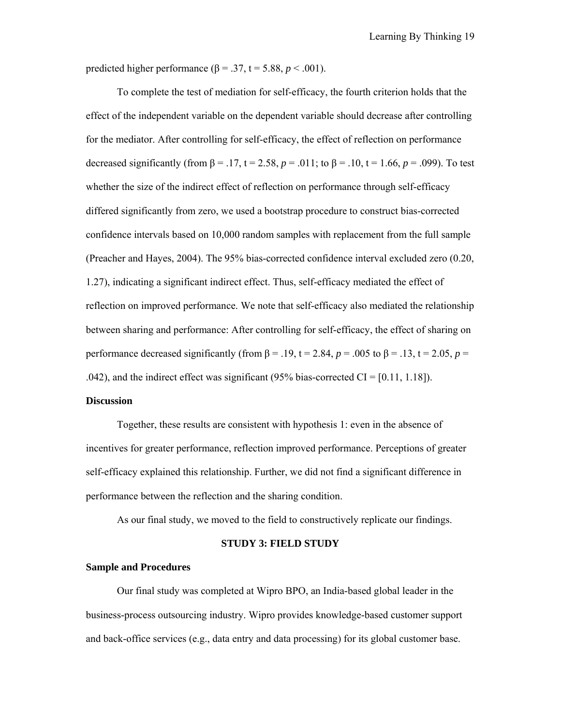predicted higher performance ( $\beta$  = .37, t = 5.88, *p* < .001).

To complete the test of mediation for self-efficacy, the fourth criterion holds that the effect of the independent variable on the dependent variable should decrease after controlling for the mediator. After controlling for self-efficacy, the effect of reflection on performance decreased significantly (from β = .17, t = 2.58,  $p = .011$ ; to β = .10, t = 1.66,  $p = .099$ ). To test whether the size of the indirect effect of reflection on performance through self-efficacy differed significantly from zero, we used a bootstrap procedure to construct bias-corrected confidence intervals based on 10,000 random samples with replacement from the full sample (Preacher and Hayes, 2004). The 95% bias-corrected confidence interval excluded zero (0.20, 1.27), indicating a significant indirect effect. Thus, self-efficacy mediated the effect of reflection on improved performance. We note that self-efficacy also mediated the relationship between sharing and performance: After controlling for self-efficacy, the effect of sharing on performance decreased significantly (from  $\beta$  = .19, t = 2.84,  $p$  = .005 to  $\beta$  = .13, t = 2.05,  $p$  = .042), and the indirect effect was significant (95% bias-corrected CI =  $[0.11, 1.18]$ ).

#### **Discussion**

Together, these results are consistent with hypothesis 1: even in the absence of incentives for greater performance, reflection improved performance. Perceptions of greater self-efficacy explained this relationship. Further, we did not find a significant difference in performance between the reflection and the sharing condition.

As our final study, we moved to the field to constructively replicate our findings.

## **STUDY 3: FIELD STUDY**

### **Sample and Procedures**

Our final study was completed at Wipro BPO, an India-based global leader in the business-process outsourcing industry. Wipro provides knowledge-based customer support and back-office services (e.g., data entry and data processing) for its global customer base.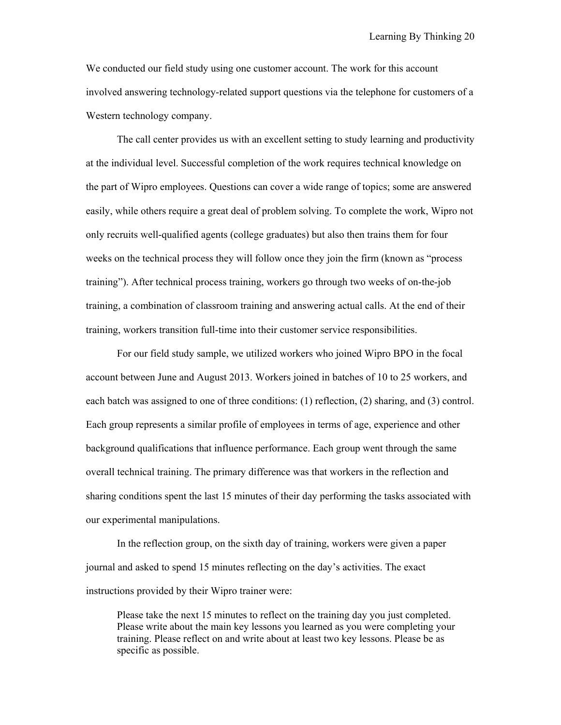We conducted our field study using one customer account. The work for this account involved answering technology-related support questions via the telephone for customers of a Western technology company.

The call center provides us with an excellent setting to study learning and productivity at the individual level. Successful completion of the work requires technical knowledge on the part of Wipro employees. Questions can cover a wide range of topics; some are answered easily, while others require a great deal of problem solving. To complete the work, Wipro not only recruits well-qualified agents (college graduates) but also then trains them for four weeks on the technical process they will follow once they join the firm (known as "process training"). After technical process training, workers go through two weeks of on-the-job training, a combination of classroom training and answering actual calls. At the end of their training, workers transition full-time into their customer service responsibilities.

For our field study sample, we utilized workers who joined Wipro BPO in the focal account between June and August 2013. Workers joined in batches of 10 to 25 workers, and each batch was assigned to one of three conditions: (1) reflection, (2) sharing, and (3) control. Each group represents a similar profile of employees in terms of age, experience and other background qualifications that influence performance. Each group went through the same overall technical training. The primary difference was that workers in the reflection and sharing conditions spent the last 15 minutes of their day performing the tasks associated with our experimental manipulations.

In the reflection group, on the sixth day of training, workers were given a paper journal and asked to spend 15 minutes reflecting on the day's activities. The exact instructions provided by their Wipro trainer were:

Please take the next 15 minutes to reflect on the training day you just completed. Please write about the main key lessons you learned as you were completing your training. Please reflect on and write about at least two key lessons. Please be as specific as possible.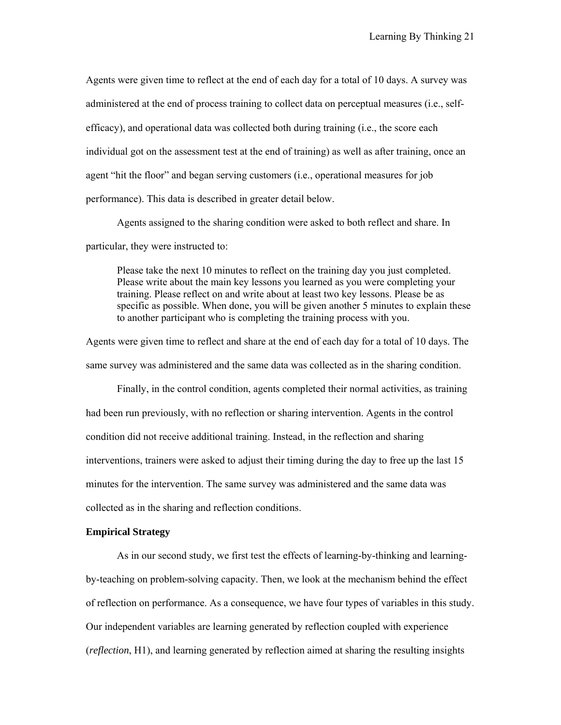Agents were given time to reflect at the end of each day for a total of 10 days. A survey was administered at the end of process training to collect data on perceptual measures (i.e., selfefficacy), and operational data was collected both during training (i.e., the score each individual got on the assessment test at the end of training) as well as after training, once an agent "hit the floor" and began serving customers (i.e., operational measures for job performance). This data is described in greater detail below.

Agents assigned to the sharing condition were asked to both reflect and share. In particular, they were instructed to:

Please take the next 10 minutes to reflect on the training day you just completed. Please write about the main key lessons you learned as you were completing your training. Please reflect on and write about at least two key lessons. Please be as specific as possible. When done, you will be given another 5 minutes to explain these to another participant who is completing the training process with you.

Agents were given time to reflect and share at the end of each day for a total of 10 days. The same survey was administered and the same data was collected as in the sharing condition.

Finally, in the control condition, agents completed their normal activities, as training had been run previously, with no reflection or sharing intervention. Agents in the control condition did not receive additional training. Instead, in the reflection and sharing interventions, trainers were asked to adjust their timing during the day to free up the last 15 minutes for the intervention. The same survey was administered and the same data was collected as in the sharing and reflection conditions.

#### **Empirical Strategy**

As in our second study, we first test the effects of learning-by-thinking and learningby-teaching on problem-solving capacity. Then, we look at the mechanism behind the effect of reflection on performance. As a consequence, we have four types of variables in this study. Our independent variables are learning generated by reflection coupled with experience (*reflection*, H1), and learning generated by reflection aimed at sharing the resulting insights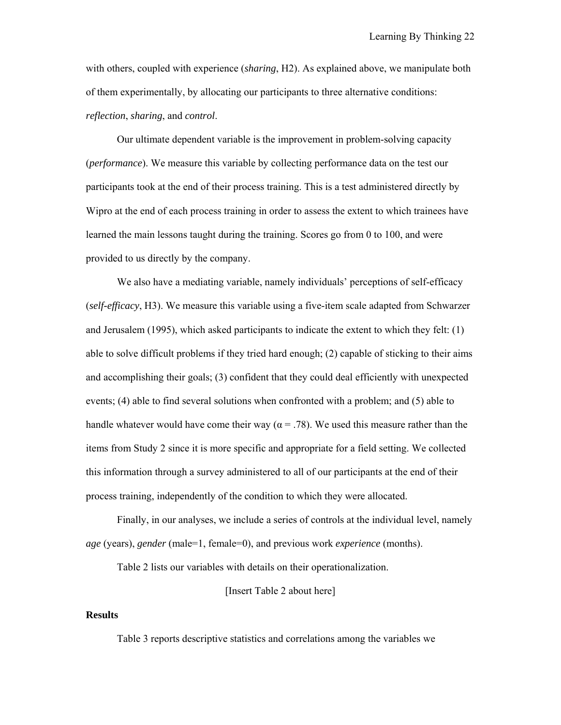with others, coupled with experience (*sharing*, H2). As explained above, we manipulate both of them experimentally, by allocating our participants to three alternative conditions: *reflection*, *sharing*, and *control*.

Our ultimate dependent variable is the improvement in problem-solving capacity (*performance*). We measure this variable by collecting performance data on the test our participants took at the end of their process training. This is a test administered directly by Wipro at the end of each process training in order to assess the extent to which trainees have learned the main lessons taught during the training. Scores go from 0 to 100, and were provided to us directly by the company.

We also have a mediating variable, namely individuals' perceptions of self-efficacy (*self-efficacy*, H3). We measure this variable using a five-item scale adapted from Schwarzer and Jerusalem (1995), which asked participants to indicate the extent to which they felt: (1) able to solve difficult problems if they tried hard enough; (2) capable of sticking to their aims and accomplishing their goals; (3) confident that they could deal efficiently with unexpected events; (4) able to find several solutions when confronted with a problem; and (5) able to handle whatever would have come their way ( $\alpha$  = .78). We used this measure rather than the items from Study 2 since it is more specific and appropriate for a field setting. We collected this information through a survey administered to all of our participants at the end of their process training, independently of the condition to which they were allocated.

Finally, in our analyses, we include a series of controls at the individual level, namely *age* (years), *gender* (male=1, female=0), and previous work *experience* (months).

Table 2 lists our variables with details on their operationalization.

[Insert Table 2 about here]

## **Results**

Table 3 reports descriptive statistics and correlations among the variables we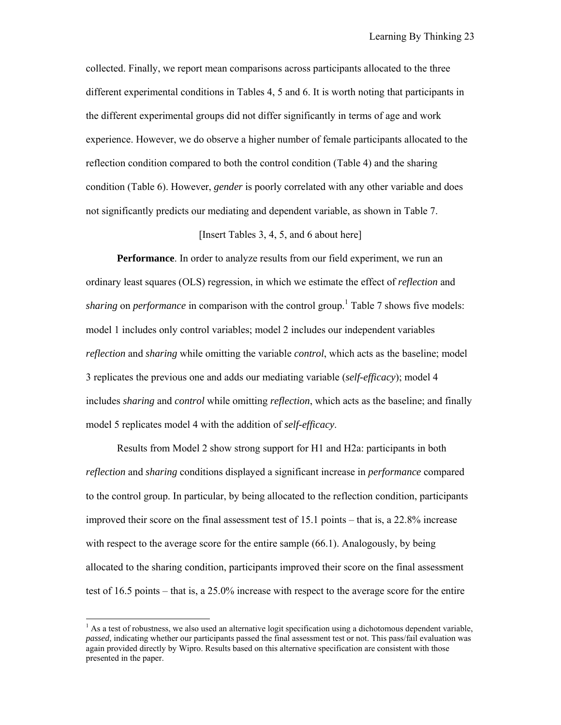collected. Finally, we report mean comparisons across participants allocated to the three different experimental conditions in Tables 4, 5 and 6. It is worth noting that participants in the different experimental groups did not differ significantly in terms of age and work experience. However, we do observe a higher number of female participants allocated to the reflection condition compared to both the control condition (Table 4) and the sharing condition (Table 6). However, *gender* is poorly correlated with any other variable and does not significantly predicts our mediating and dependent variable, as shown in Table 7.

## [Insert Tables 3, 4, 5, and 6 about here]

**Performance**. In order to analyze results from our field experiment, we run an ordinary least squares (OLS) regression, in which we estimate the effect of *reflection* and *sharing* on *performance* in comparison with the control group.<sup>1</sup> Table 7 shows five models: model 1 includes only control variables; model 2 includes our independent variables *reflection* and *sharing* while omitting the variable *control*, which acts as the baseline; model 3 replicates the previous one and adds our mediating variable (*self-efficacy*); model 4 includes *sharing* and *control* while omitting *reflection*, which acts as the baseline; and finally model 5 replicates model 4 with the addition of *self-efficacy*.

Results from Model 2 show strong support for H1 and H2a: participants in both *reflection* and *sharing* conditions displayed a significant increase in *performance* compared to the control group. In particular, by being allocated to the reflection condition, participants improved their score on the final assessment test of 15.1 points – that is, a 22.8% increase with respect to the average score for the entire sample (66.1). Analogously, by being allocated to the sharing condition, participants improved their score on the final assessment test of 16.5 points – that is, a 25.0% increase with respect to the average score for the entire

 

 $<sup>1</sup>$  As a test of robustness, we also used an alternative logit specification using a dichotomous dependent variable,</sup> *passed,* indicating whether our participants passed the final assessment test or not. This pass/fail evaluation was again provided directly by Wipro. Results based on this alternative specification are consistent with those presented in the paper.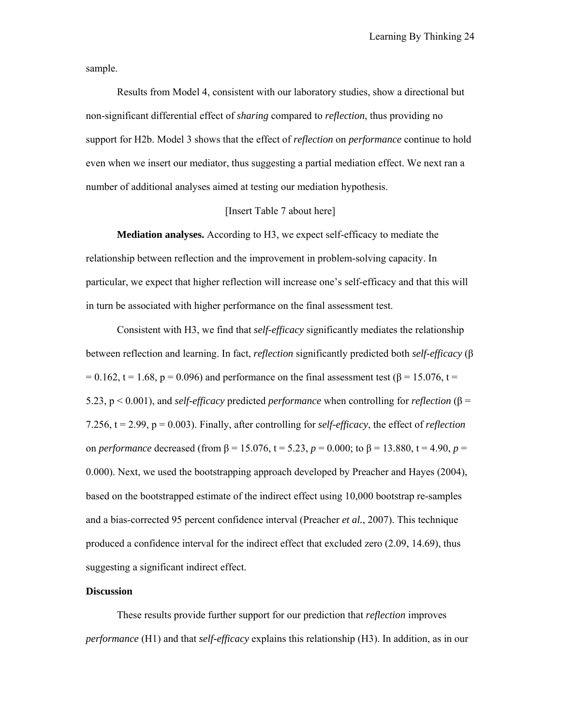sample.

Results from Model 4, consistent with our laboratory studies, show a directional but non-significant differential effect of *sharing* compared to *reflection*, thus providing no support for H2b. Model 3 shows that the effect of *reflection* on *performance* continue to hold even when we insert our mediator, thus suggesting a partial mediation effect. We next ran a number of additional analyses aimed at testing our mediation hypothesis.

## [Insert Table 7 about here]

**Mediation analyses.** According to H3, we expect self-efficacy to mediate the relationship between reflection and the improvement in problem-solving capacity. In particular, we expect that higher reflection will increase one's self-efficacy and that this will in turn be associated with higher performance on the final assessment test.

Consistent with H3, we find that *self-efficacy* significantly mediates the relationship between reflection and learning. In fact, *reflection* significantly predicted both *self-efficacy* (β = 0.162, t = 1.68, p = 0.096) and performance on the final assessment test ( $\beta$  = 15.076, t = 5.23, p < 0.001), and *self-efficacy* predicted *performance* when controlling for *reflection* (β = 7.256, t = 2.99, p = 0.003). Finally, after controlling for *self-efficacy*, the effect of *reflection* on *performance* decreased (from β = 15.076, t = 5.23, *p* = 0.000; to β = 13.880, t = 4.90, *p* = 0.000). Next, we used the bootstrapping approach developed by Preacher and Hayes (2004), based on the bootstrapped estimate of the indirect effect using 10,000 bootstrap re-samples and a bias-corrected 95 percent confidence interval (Preacher *et al.*, 2007). This technique produced a confidence interval for the indirect effect that excluded zero (2.09, 14.69), thus suggesting a significant indirect effect.

## **Discussion**

These results provide further support for our prediction that *reflection* improves *performance* (H1) and that *self-efficacy* explains this relationship (H3). In addition, as in our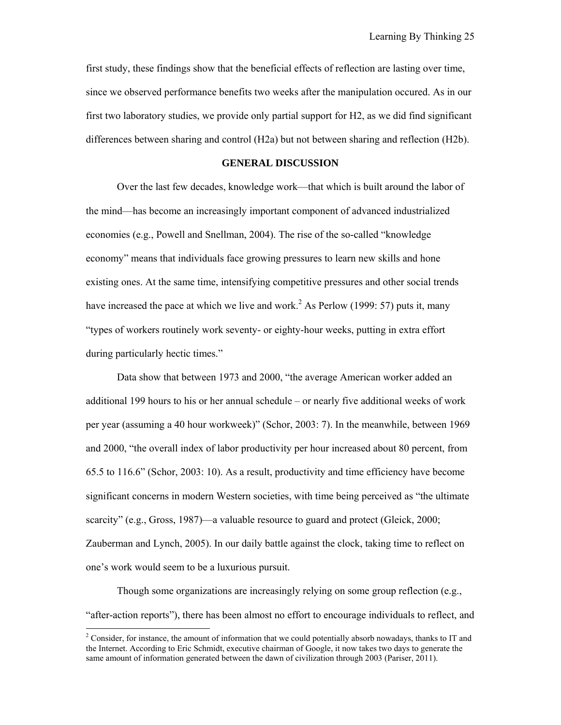first study, these findings show that the beneficial effects of reflection are lasting over time, since we observed performance benefits two weeks after the manipulation occured. As in our first two laboratory studies, we provide only partial support for H2, as we did find significant differences between sharing and control (H2a) but not between sharing and reflection (H2b).

#### **GENERAL DISCUSSION**

Over the last few decades, knowledge work—that which is built around the labor of the mind—has become an increasingly important component of advanced industrialized economies (e.g., Powell and Snellman, 2004). The rise of the so-called "knowledge economy" means that individuals face growing pressures to learn new skills and hone existing ones. At the same time, intensifying competitive pressures and other social trends have increased the pace at which we live and work.<sup>2</sup> As Perlow (1999: 57) puts it, many "types of workers routinely work seventy- or eighty-hour weeks, putting in extra effort during particularly hectic times."

Data show that between 1973 and 2000, "the average American worker added an additional 199 hours to his or her annual schedule – or nearly five additional weeks of work per year (assuming a 40 hour workweek)" (Schor, 2003: 7). In the meanwhile, between 1969 and 2000, "the overall index of labor productivity per hour increased about 80 percent, from 65.5 to 116.6" (Schor, 2003: 10). As a result, productivity and time efficiency have become significant concerns in modern Western societies, with time being perceived as "the ultimate scarcity" (e.g., Gross, 1987)—a valuable resource to guard and protect (Gleick, 2000; Zauberman and Lynch, 2005). In our daily battle against the clock, taking time to reflect on one's work would seem to be a luxurious pursuit.

Though some organizations are increasingly relying on some group reflection (e.g., "after-action reports"), there has been almost no effort to encourage individuals to reflect, and

 

 $2^2$  Consider, for instance, the amount of information that we could potentially absorb nowadays, thanks to IT and the Internet. According to Eric Schmidt, executive chairman of Google, it now takes two days to generate the same amount of information generated between the dawn of civilization through 2003 (Pariser, 2011).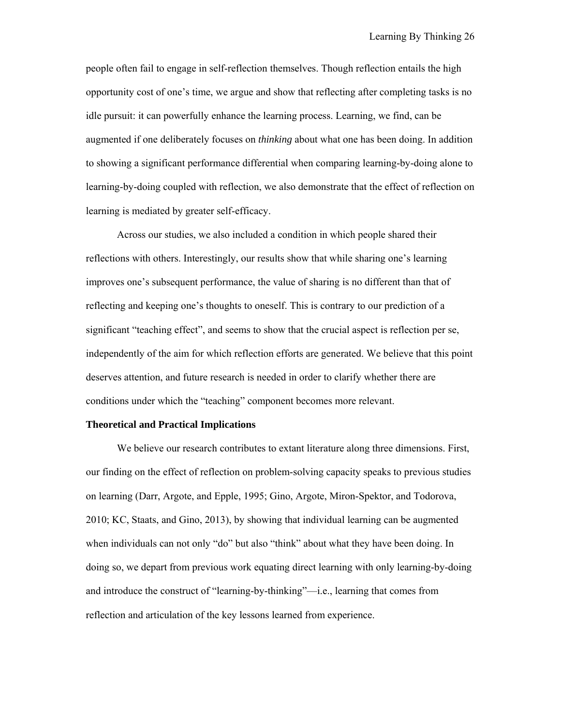people often fail to engage in self-reflection themselves. Though reflection entails the high opportunity cost of one's time, we argue and show that reflecting after completing tasks is no idle pursuit: it can powerfully enhance the learning process. Learning, we find, can be augmented if one deliberately focuses on *thinking* about what one has been doing. In addition to showing a significant performance differential when comparing learning-by-doing alone to learning-by-doing coupled with reflection, we also demonstrate that the effect of reflection on learning is mediated by greater self-efficacy.

Across our studies, we also included a condition in which people shared their reflections with others. Interestingly, our results show that while sharing one's learning improves one's subsequent performance, the value of sharing is no different than that of reflecting and keeping one's thoughts to oneself. This is contrary to our prediction of a significant "teaching effect", and seems to show that the crucial aspect is reflection per se, independently of the aim for which reflection efforts are generated. We believe that this point deserves attention, and future research is needed in order to clarify whether there are conditions under which the "teaching" component becomes more relevant.

## **Theoretical and Practical Implications**

We believe our research contributes to extant literature along three dimensions. First, our finding on the effect of reflection on problem-solving capacity speaks to previous studies on learning (Darr, Argote, and Epple, 1995; Gino, Argote, Miron-Spektor, and Todorova, 2010; KC, Staats, and Gino, 2013), by showing that individual learning can be augmented when individuals can not only "do" but also "think" about what they have been doing. In doing so, we depart from previous work equating direct learning with only learning-by-doing and introduce the construct of "learning-by-thinking"—i.e., learning that comes from reflection and articulation of the key lessons learned from experience.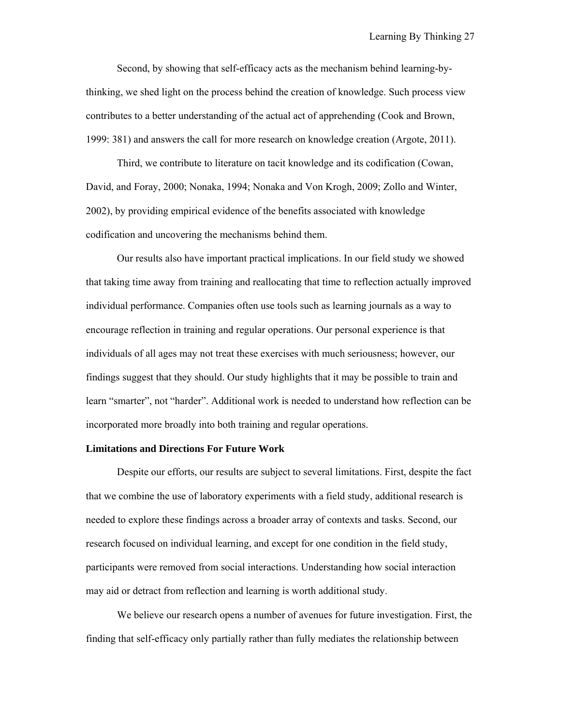Second, by showing that self-efficacy acts as the mechanism behind learning-bythinking, we shed light on the process behind the creation of knowledge. Such process view contributes to a better understanding of the actual act of apprehending (Cook and Brown, 1999: 381) and answers the call for more research on knowledge creation (Argote, 2011).

Third, we contribute to literature on tacit knowledge and its codification (Cowan, David, and Foray, 2000; Nonaka, 1994; Nonaka and Von Krogh, 2009; Zollo and Winter, 2002), by providing empirical evidence of the benefits associated with knowledge codification and uncovering the mechanisms behind them.

Our results also have important practical implications. In our field study we showed that taking time away from training and reallocating that time to reflection actually improved individual performance. Companies often use tools such as learning journals as a way to encourage reflection in training and regular operations. Our personal experience is that individuals of all ages may not treat these exercises with much seriousness; however, our findings suggest that they should. Our study highlights that it may be possible to train and learn "smarter", not "harder". Additional work is needed to understand how reflection can be incorporated more broadly into both training and regular operations.

#### **Limitations and Directions For Future Work**

Despite our efforts, our results are subject to several limitations. First, despite the fact that we combine the use of laboratory experiments with a field study, additional research is needed to explore these findings across a broader array of contexts and tasks. Second, our research focused on individual learning, and except for one condition in the field study, participants were removed from social interactions. Understanding how social interaction may aid or detract from reflection and learning is worth additional study.

We believe our research opens a number of avenues for future investigation. First, the finding that self-efficacy only partially rather than fully mediates the relationship between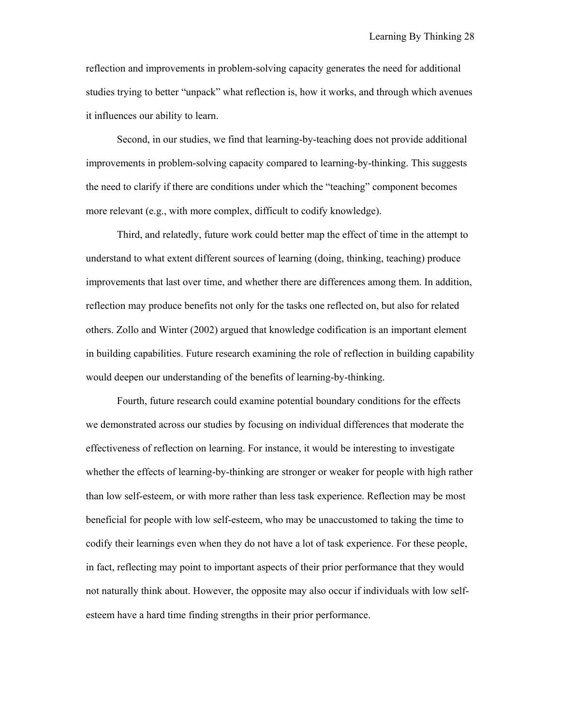reflection and improvements in problem-solving capacity generates the need for additional studies trying to better "unpack" what reflection is, how it works, and through which avenues it influences our ability to learn.

Second, in our studies, we find that learning-by-teaching does not provide additional improvements in problem-solving capacity compared to learning-by-thinking. This suggests the need to clarify if there are conditions under which the "teaching" component becomes more relevant (e.g., with more complex, difficult to codify knowledge).

Third, and relatedly, future work could better map the effect of time in the attempt to understand to what extent different sources of learning (doing, thinking, teaching) produce improvements that last over time, and whether there are differences among them. In addition, reflection may produce benefits not only for the tasks one reflected on, but also for related others. Zollo and Winter (2002) argued that knowledge codification is an important element in building capabilities. Future research examining the role of reflection in building capability would deepen our understanding of the benefits of learning-by-thinking.

Fourth, future research could examine potential boundary conditions for the effects we demonstrated across our studies by focusing on individual differences that moderate the effectiveness of reflection on learning. For instance, it would be interesting to investigate whether the effects of learning-by-thinking are stronger or weaker for people with high rather than low self-esteem, or with more rather than less task experience. Reflection may be most beneficial for people with low self-esteem, who may be unaccustomed to taking the time to codify their learnings even when they do not have a lot of task experience. For these people, in fact, reflecting may point to important aspects of their prior performance that they would not naturally think about. However, the opposite may also occur if individuals with low selfesteem have a hard time finding strengths in their prior performance.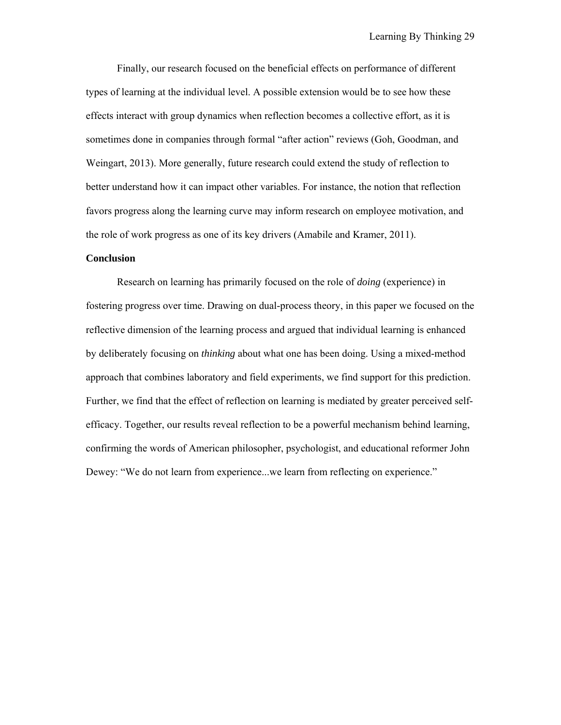Finally, our research focused on the beneficial effects on performance of different types of learning at the individual level. A possible extension would be to see how these effects interact with group dynamics when reflection becomes a collective effort, as it is sometimes done in companies through formal "after action" reviews (Goh, Goodman, and Weingart, 2013). More generally, future research could extend the study of reflection to better understand how it can impact other variables. For instance, the notion that reflection favors progress along the learning curve may inform research on employee motivation, and the role of work progress as one of its key drivers (Amabile and Kramer, 2011).

#### **Conclusion**

Research on learning has primarily focused on the role of *doing* (experience) in fostering progress over time. Drawing on dual-process theory, in this paper we focused on the reflective dimension of the learning process and argued that individual learning is enhanced by deliberately focusing on *thinking* about what one has been doing. Using a mixed-method approach that combines laboratory and field experiments, we find support for this prediction. Further, we find that the effect of reflection on learning is mediated by greater perceived selfefficacy. Together, our results reveal reflection to be a powerful mechanism behind learning, confirming the words of American philosopher, psychologist, and educational reformer John Dewey: "We do not learn from experience...we learn from reflecting on experience."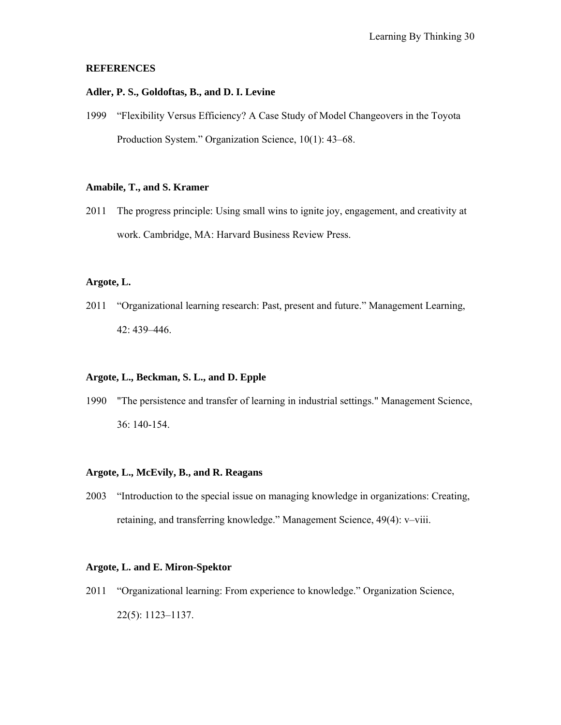## **REFERENCES**

## **Adler, P. S., Goldoftas, B., and D. I. Levine**

1999 "Flexibility Versus Efficiency? A Case Study of Model Changeovers in the Toyota Production System." Organization Science, 10(1): 43–68.

## **Amabile, T., and S. Kramer**

2011 The progress principle: Using small wins to ignite joy, engagement, and creativity at work. Cambridge, MA: Harvard Business Review Press.

#### **Argote, L.**

2011 "Organizational learning research: Past, present and future." Management Learning, 42: 439–446.

## **Argote, L., Beckman, S. L., and D. Epple**

1990 "The persistence and transfer of learning in industrial settings." Management Science, 36: 140-154.

#### **Argote, L., McEvily, B., and R. Reagans**

2003 "Introduction to the special issue on managing knowledge in organizations: Creating, retaining, and transferring knowledge." Management Science, 49(4): v–viii.

## **Argote, L. and E. Miron-Spektor**

2011 "Organizational learning: From experience to knowledge." Organization Science, 22(5): 1123–1137.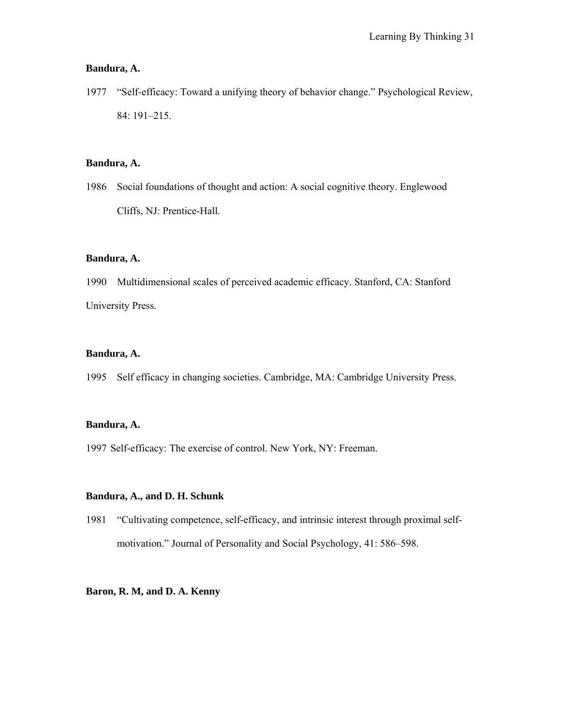## **Bandura, A.**

1977 "Self-efficacy: Toward a unifying theory of behavior change." Psychological Review, 84: 191–215.

## **Bandura, A.**

1986 Social foundations of thought and action: A social cognitive theory. Englewood Cliffs, NJ: Prentice-Hall.

## **Bandura, A.**

1990 Multidimensional scales of perceived academic efficacy. Stanford, CA: Stanford University Press.

## **Bandura, A.**

1995 Self efficacy in changing societies. Cambridge, MA: Cambridge University Press.

## **Bandura, A.**

1997 Self-efficacy: The exercise of control. New York, NY: Freeman.

## **Bandura, A., and D. H. Schunk**

1981 "Cultivating competence, self-efficacy, and intrinsic interest through proximal selfmotivation." Journal of Personality and Social Psychology, 41: 586–598.

## **Baron, R. M, and D. A. Kenny**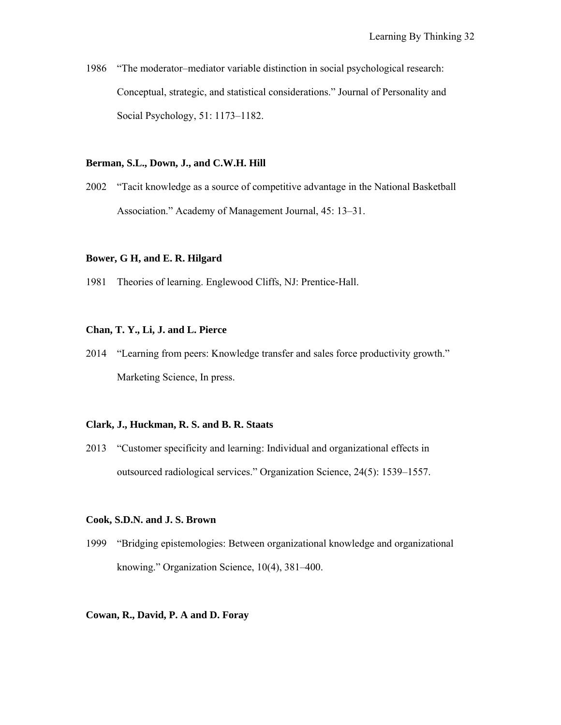1986 "The moderator–mediator variable distinction in social psychological research: Conceptual, strategic, and statistical considerations." Journal of Personality and Social Psychology, 51: 1173–1182.

## **Berman, S.L., Down, J., and C.W.H. Hill**

2002 "Tacit knowledge as a source of competitive advantage in the National Basketball Association." Academy of Management Journal, 45: 13–31.

#### **Bower, G H, and E. R. Hilgard**

1981 Theories of learning. Englewood Cliffs, NJ: Prentice-Hall.

## **Chan, T. Y., Li, J. and L. Pierce**

2014 "Learning from peers: Knowledge transfer and sales force productivity growth." Marketing Science, In press.

#### **Clark, J., Huckman, R. S. and B. R. Staats**

2013 "Customer specificity and learning: Individual and organizational effects in outsourced radiological services." Organization Science, 24(5): 1539–1557.

#### **Cook, S.D.N. and J. S. Brown**

1999 "Bridging epistemologies: Between organizational knowledge and organizational knowing." Organization Science, 10(4), 381–400.

#### **Cowan, R., David, P. A and D. Foray**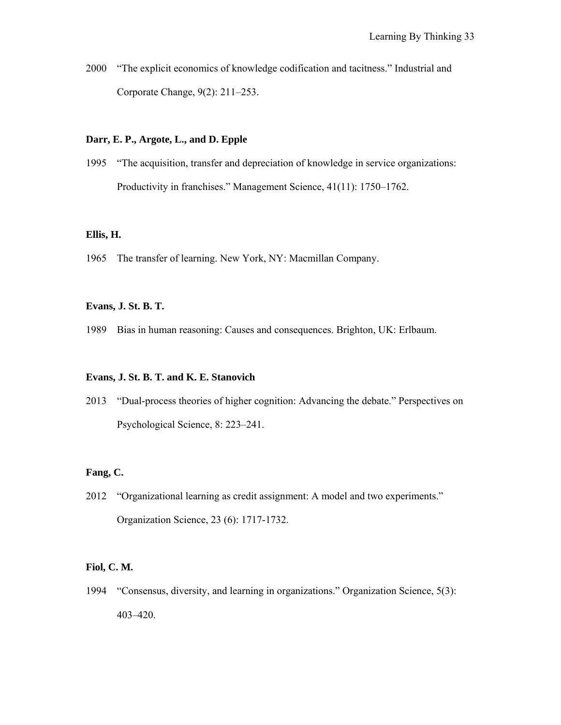2000 "The explicit economics of knowledge codification and tacitness." Industrial and Corporate Change, 9(2): 211–253.

## **Darr, E. P., Argote, L., and D. Epple**

1995 "The acquisition, transfer and depreciation of knowledge in service organizations: Productivity in franchises." Management Science, 41(11): 1750–1762.

#### **Ellis, H.**

1965 The transfer of learning. New York, NY: Macmillan Company.

## **Evans, J. St. B. T.**

1989 Bias in human reasoning: Causes and consequences. Brighton, UK: Erlbaum.

## **Evans, J. St. B. T. and K. E. Stanovich**

2013 "Dual-process theories of higher cognition: Advancing the debate." Perspectives on Psychological Science, 8: 223–241.

## **Fang, C.**

2012 "Organizational learning as credit assignment: A model and two experiments." Organization Science, 23 (6): 1717-1732.

#### **Fiol, C. M.**

1994 "Consensus, diversity, and learning in organizations." Organization Science, 5(3): 403–420.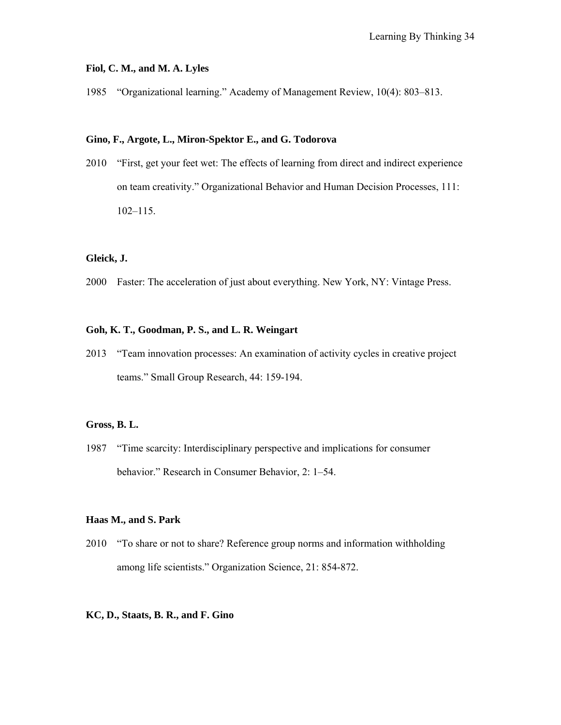#### **Fiol, C. M., and M. A. Lyles**

1985 "Organizational learning." Academy of Management Review, 10(4): 803–813.

#### **Gino, F., Argote, L., Miron-Spektor E., and G. Todorova**

2010 "First, get your feet wet: The effects of learning from direct and indirect experience on team creativity." Organizational Behavior and Human Decision Processes, 111: 102–115.

#### **Gleick, J.**

2000 Faster: The acceleration of just about everything. New York, NY: Vintage Press.

## **Goh, K. T., Goodman, P. S., and L. R. Weingart**

2013 "Team innovation processes: An examination of activity cycles in creative project teams." Small Group Research, 44: 159-194.

#### **Gross, B. L.**

1987 "Time scarcity: Interdisciplinary perspective and implications for consumer behavior." Research in Consumer Behavior, 2: 1–54.

#### **Haas M., and S. Park**

2010 "To share or not to share? Reference group norms and information withholding among life scientists." Organization Science, 21: 854-872.

## **KC, D., Staats, B. R., and F. Gino**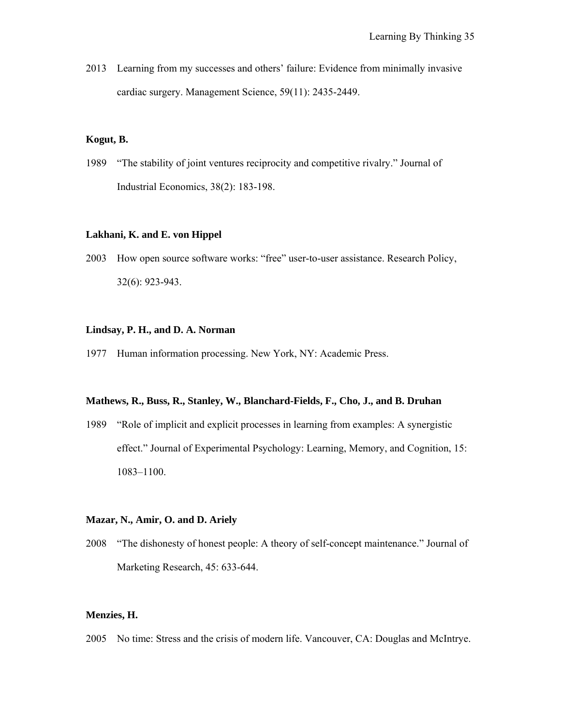2013 Learning from my successes and others' failure: Evidence from minimally invasive cardiac surgery. Management Science, 59(11): 2435-2449.

#### **Kogut, B.**

1989 "The stability of joint ventures reciprocity and competitive rivalry." Journal of Industrial Economics, 38(2): 183-198.

#### **Lakhani, K. and E. von Hippel**

2003 How open source software works: "free" user-to-user assistance. Research Policy, 32(6): 923-943.

## **Lindsay, P. H., and D. A. Norman**

1977 Human information processing. New York, NY: Academic Press.

#### **Mathews, R., Buss, R., Stanley, W., Blanchard-Fields, F., Cho, J., and B. Druhan**

1989 "Role of implicit and explicit processes in learning from examples: A synergistic effect." Journal of Experimental Psychology: Learning, Memory, and Cognition, 15: 1083–1100.

#### **Mazar, N., Amir, O. and D. Ariely**

2008 "The dishonesty of honest people: A theory of self-concept maintenance." Journal of Marketing Research, 45: 633-644.

## **Menzies, H.**

2005 No time: Stress and the crisis of modern life. Vancouver, CA: Douglas and McIntrye.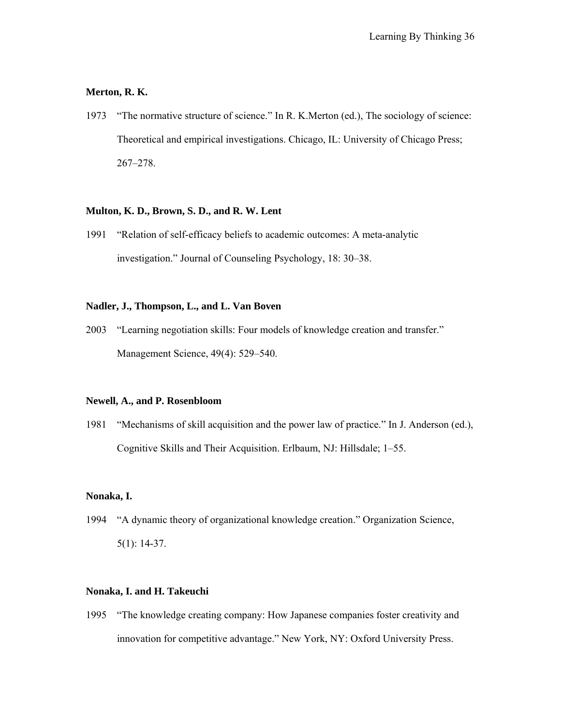## **Merton, R. K.**

1973 "The normative structure of science." In R. K.Merton (ed.), The sociology of science: Theoretical and empirical investigations. Chicago, IL: University of Chicago Press; 267–278.

## **Multon, K. D., Brown, S. D., and R. W. Lent**

1991 "Relation of self-efficacy beliefs to academic outcomes: A meta-analytic investigation." Journal of Counseling Psychology, 18: 30–38.

#### **Nadler, J., Thompson, L., and L. Van Boven**

2003 "Learning negotiation skills: Four models of knowledge creation and transfer." Management Science, 49(4): 529–540.

#### **Newell, A., and P. Rosenbloom**

1981 "Mechanisms of skill acquisition and the power law of practice." In J. Anderson (ed.), Cognitive Skills and Their Acquisition. Erlbaum, NJ: Hillsdale; 1–55.

#### **Nonaka, I.**

1994 "A dynamic theory of organizational knowledge creation." Organization Science, 5(1): 14-37.

## **Nonaka, I. and H. Takeuchi**

1995 "The knowledge creating company: How Japanese companies foster creativity and innovation for competitive advantage." New York, NY: Oxford University Press.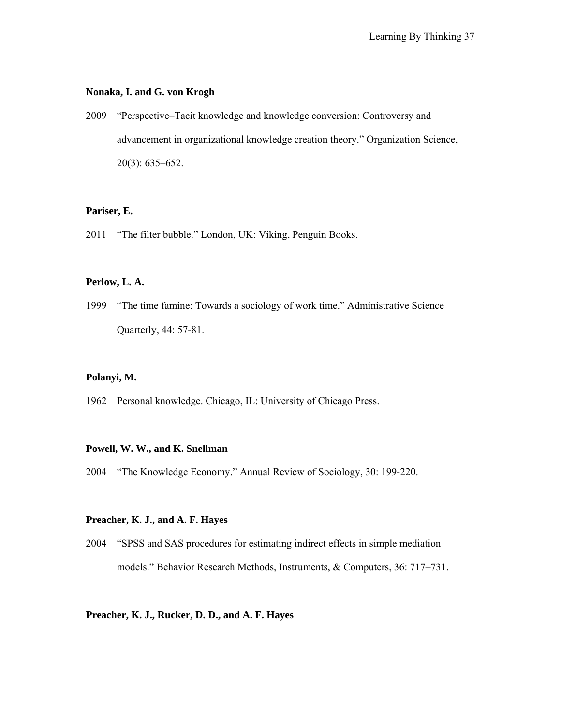#### **Nonaka, I. and G. von Krogh**

2009 "Perspective–Tacit knowledge and knowledge conversion: Controversy and advancement in organizational knowledge creation theory." Organization Science, 20(3): 635–652.

## **Pariser, E.**

2011 "The filter bubble." London, UK: Viking, Penguin Books.

## **Perlow, L. A.**

1999 "The time famine: Towards a sociology of work time." Administrative Science Quarterly, 44: 57-81.

## **Polanyi, M.**

1962 Personal knowledge. Chicago, IL: University of Chicago Press.

## **Powell, W. W., and K. Snellman**

2004 "The Knowledge Economy." Annual Review of Sociology, 30: 199-220.

#### **Preacher, K. J., and A. F. Hayes**

2004 "SPSS and SAS procedures for estimating indirect effects in simple mediation models." Behavior Research Methods, Instruments, & Computers, 36: 717–731.

## **Preacher, K. J., Rucker, D. D., and A. F. Hayes**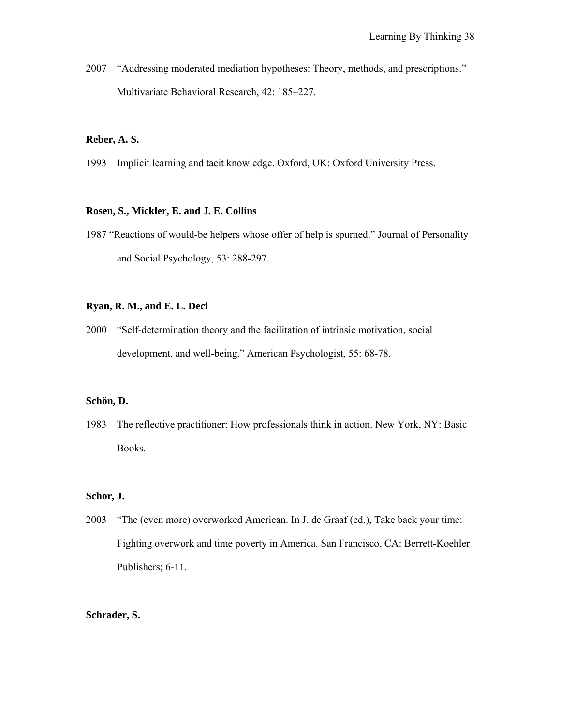2007 "Addressing moderated mediation hypotheses: Theory, methods, and prescriptions." Multivariate Behavioral Research, 42: 185–227.

#### **Reber, A. S.**

1993 Implicit learning and tacit knowledge. Oxford, UK: Oxford University Press.

#### **Rosen, S., Mickler, E. and J. E. Collins**

1987 "Reactions of would-be helpers whose offer of help is spurned." Journal of Personality and Social Psychology, 53: 288-297.

#### **Ryan, R. M., and E. L. Deci**

2000 "Self-determination theory and the facilitation of intrinsic motivation, social development, and well-being." American Psychologist, 55: 68-78.

#### **Schön, D.**

1983 The reflective practitioner: How professionals think in action. New York, NY: Basic Books.

#### **Schor, J.**

2003 "The (even more) overworked American. In J. de Graaf (ed.), Take back your time: Fighting overwork and time poverty in America. San Francisco, CA: Berrett-Koehler Publishers; 6-11.

## **Schrader, S.**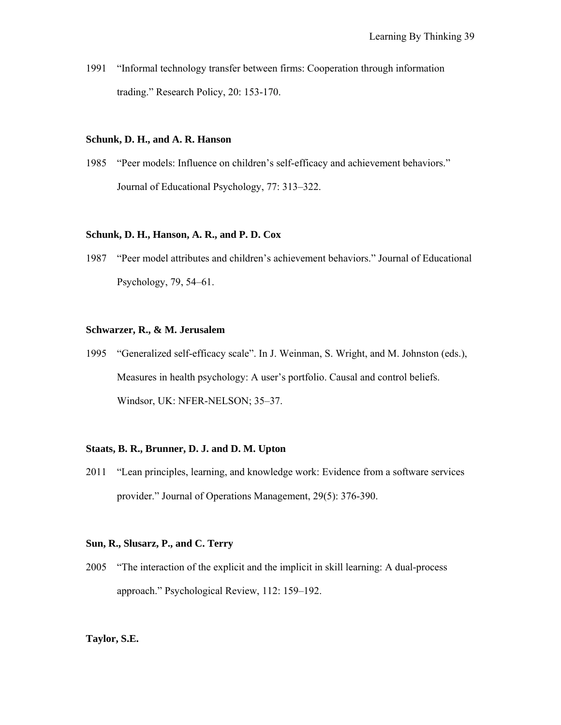1991 "Informal technology transfer between firms: Cooperation through information trading." Research Policy, 20: 153-170.

#### **Schunk, D. H., and A. R. Hanson**

1985 "Peer models: Influence on children's self-efficacy and achievement behaviors." Journal of Educational Psychology, 77: 313–322.

#### **Schunk, D. H., Hanson, A. R., and P. D. Cox**

1987 "Peer model attributes and children's achievement behaviors." Journal of Educational Psychology, 79, 54–61.

### **Schwarzer, R., & M. Jerusalem**

1995 "Generalized self-efficacy scale". In J. Weinman, S. Wright, and M. Johnston (eds.), Measures in health psychology: A user's portfolio. Causal and control beliefs. Windsor, UK: NFER-NELSON; 35–37.

## **Staats, B. R., Brunner, D. J. and D. M. Upton**

2011 "Lean principles, learning, and knowledge work: Evidence from a software services provider." Journal of Operations Management, 29(5): 376-390.

#### **Sun, R., Slusarz, P., and C. Terry**

2005 "The interaction of the explicit and the implicit in skill learning: A dual-process approach." Psychological Review, 112: 159–192.

#### **Taylor, S.E.**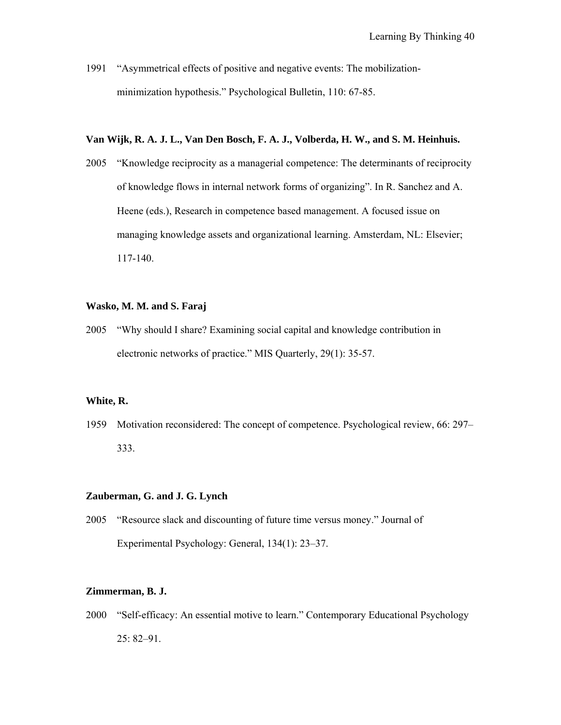1991 "Asymmetrical effects of positive and negative events: The mobilizationminimization hypothesis." Psychological Bulletin, 110: 67-85.

## **Van Wijk, R. A. J. L., Van Den Bosch, F. A. J., Volberda, H. W., and S. M. Heinhuis.**

2005 "Knowledge reciprocity as a managerial competence: The determinants of reciprocity of knowledge flows in internal network forms of organizing". In R. Sanchez and A. Heene (eds.), Research in competence based management. A focused issue on managing knowledge assets and organizational learning. Amsterdam, NL: Elsevier; 117-140.

#### **Wasko, M. M. and S. Faraj**

2005 "Why should I share? Examining social capital and knowledge contribution in electronic networks of practice." MIS Quarterly, 29(1): 35-57.

#### **White, R.**

1959 Motivation reconsidered: The concept of competence. Psychological review, 66: 297– 333.

#### **Zauberman, G. and J. G. Lynch**

2005 "Resource slack and discounting of future time versus money." Journal of Experimental Psychology: General, 134(1): 23–37.

## **Zimmerman, B. J.**

2000 "Self-efficacy: An essential motive to learn." Contemporary Educational Psychology 25: 82–91.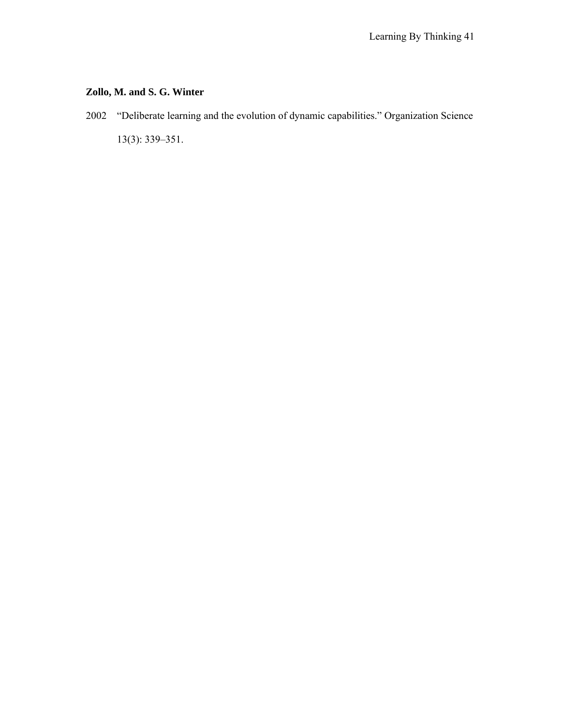# **Zollo, M. and S. G. Winter**

2002 "Deliberate learning and the evolution of dynamic capabilities." Organization Science 13(3): 339–351.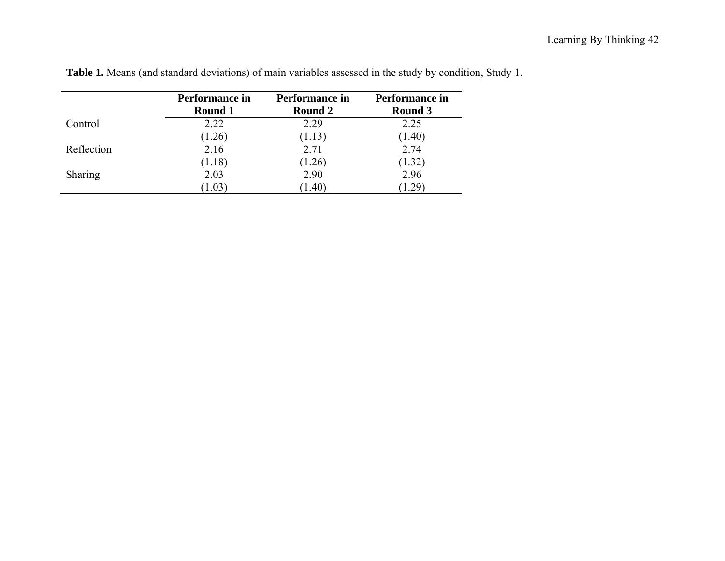|                | Performance in<br>Round 1 | Performance in<br>Round 2 | Performance in<br>Round 3 |
|----------------|---------------------------|---------------------------|---------------------------|
| Control        | 2.22                      | 2.29                      | 2.25                      |
|                | (1.26)                    | (1.13)                    | (1.40)                    |
| Reflection     | 2.16                      | 2.71                      | 2.74                      |
|                | (1.18)                    | (1.26)                    | (1.32)                    |
| <b>Sharing</b> | 2.03                      | 2.90                      | 2.96                      |
|                | 1.03                      | (1.40)                    | (1.29)                    |

**Table 1.** Means (and standard deviations) of main variables assessed in the study by condition, Study 1.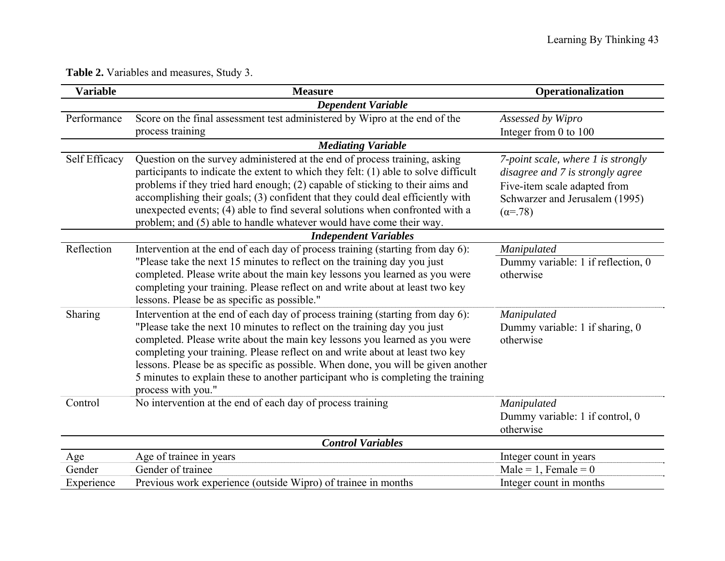**Table 2.** Variables and measures, Study 3.

| <b>Variable</b> | <b>Measure</b>                                                                                                                                                                                                                                                                                                                                                                                                                                                                                                         | Operationalization                                                                                                                                          |
|-----------------|------------------------------------------------------------------------------------------------------------------------------------------------------------------------------------------------------------------------------------------------------------------------------------------------------------------------------------------------------------------------------------------------------------------------------------------------------------------------------------------------------------------------|-------------------------------------------------------------------------------------------------------------------------------------------------------------|
|                 | <b>Dependent Variable</b>                                                                                                                                                                                                                                                                                                                                                                                                                                                                                              |                                                                                                                                                             |
| Performance     | Score on the final assessment test administered by Wipro at the end of the<br>process training                                                                                                                                                                                                                                                                                                                                                                                                                         | Assessed by Wipro<br>Integer from 0 to 100                                                                                                                  |
|                 | <b>Mediating Variable</b>                                                                                                                                                                                                                                                                                                                                                                                                                                                                                              |                                                                                                                                                             |
| Self Efficacy   | Question on the survey administered at the end of process training, asking<br>participants to indicate the extent to which they felt: (1) able to solve difficult<br>problems if they tried hard enough; (2) capable of sticking to their aims and<br>accomplishing their goals; (3) confident that they could deal efficiently with<br>unexpected events; (4) able to find several solutions when confronted with a<br>problem; and (5) able to handle whatever would have come their way.                            | 7-point scale, where 1 is strongly<br>disagree and 7 is strongly agree<br>Five-item scale adapted from<br>Schwarzer and Jerusalem (1995)<br>$(\alpha = 78)$ |
|                 | <b>Independent Variables</b>                                                                                                                                                                                                                                                                                                                                                                                                                                                                                           |                                                                                                                                                             |
| Reflection      | Intervention at the end of each day of process training (starting from day 6):<br>"Please take the next 15 minutes to reflect on the training day you just<br>completed. Please write about the main key lessons you learned as you were<br>completing your training. Please reflect on and write about at least two key<br>lessons. Please be as specific as possible."                                                                                                                                               | Manipulated<br>Dummy variable: 1 if reflection, 0<br>otherwise                                                                                              |
| Sharing         | Intervention at the end of each day of process training (starting from day 6):<br>"Please take the next 10 minutes to reflect on the training day you just<br>completed. Please write about the main key lessons you learned as you were<br>completing your training. Please reflect on and write about at least two key<br>lessons. Please be as specific as possible. When done, you will be given another<br>5 minutes to explain these to another participant who is completing the training<br>process with you." | Manipulated<br>Dummy variable: 1 if sharing, 0<br>otherwise                                                                                                 |
| Control         | No intervention at the end of each day of process training                                                                                                                                                                                                                                                                                                                                                                                                                                                             | Manipulated<br>Dummy variable: 1 if control, 0<br>otherwise                                                                                                 |
|                 | <b>Control Variables</b>                                                                                                                                                                                                                                                                                                                                                                                                                                                                                               |                                                                                                                                                             |
| Age             | Age of trainee in years                                                                                                                                                                                                                                                                                                                                                                                                                                                                                                | Integer count in years                                                                                                                                      |
| Gender          | Gender of trainee                                                                                                                                                                                                                                                                                                                                                                                                                                                                                                      | Male = 1, Female = $0$                                                                                                                                      |
| Experience      | Previous work experience (outside Wipro) of trainee in months                                                                                                                                                                                                                                                                                                                                                                                                                                                          | Integer count in months                                                                                                                                     |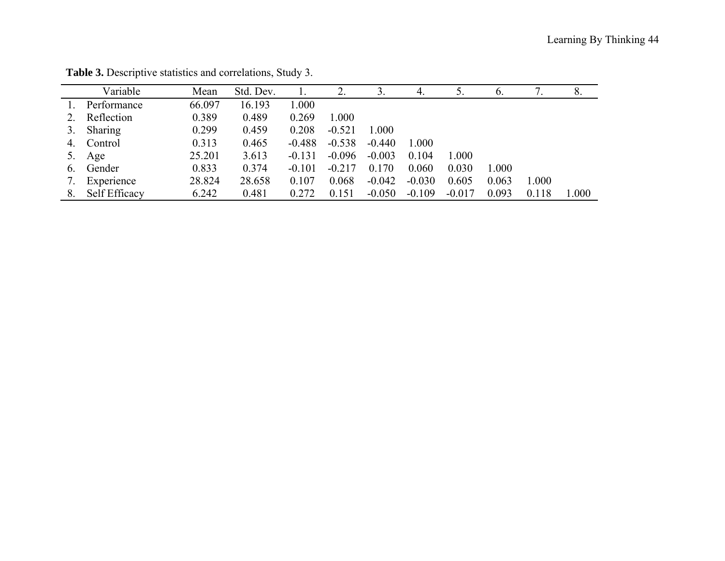|                  | Variable      | Mean   | Std. Dev. |          | 2.       | 3.       | 4.       |          | $\mathfrak{b}$ . |       | 8.        |
|------------------|---------------|--------|-----------|----------|----------|----------|----------|----------|------------------|-------|-----------|
|                  | Performance   | 66.097 | 16.193    | 000.1    |          |          |          |          |                  |       |           |
|                  | Reflection    | 0.389  | 0.489     | 0.269    | 1.000    |          |          |          |                  |       |           |
|                  | Sharing       | 0.299  | 0.459     | 0.208    | $-0.521$ | 1.000    |          |          |                  |       |           |
| 4.               | Control       | 0.313  | 0.465     | $-0.488$ | $-0.538$ | $-0.440$ | 1.000    |          |                  |       |           |
|                  | Age           | 25.201 | 3.613     | $-0.131$ | $-0.096$ | $-0.003$ | 0.104    | 1.000    |                  |       |           |
| $\mathfrak{b}$ . | Gender        | 0.833  | 0.374     | $-0.101$ | $-0.217$ | 0.170    | 0.060    | 0.030    | 1.000            |       |           |
|                  | Experience    | 28.824 | 28.658    | 0.107    | 0.068    | $-0.042$ | $-0.030$ | 0.605    | 0.063            | 1.000 |           |
| 8.               | Self Efficacy | 6.242  | 0.481     | 0.272    | 0.151    | $-0.050$ | $-0.109$ | $-0.017$ | 0.093            | 0.118 | $1.000\,$ |

**Table 3.** Descriptive statistics and correlations, Study 3.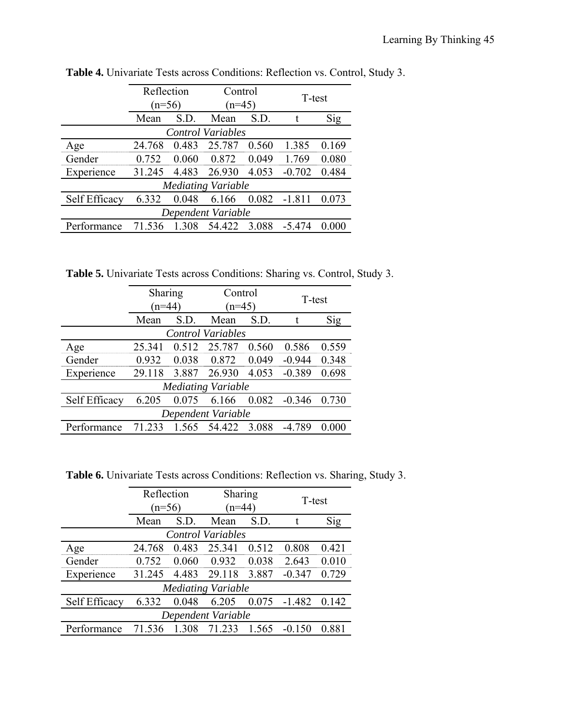|                          | Reflection |          | Control                   |          |          |        |  |
|--------------------------|------------|----------|---------------------------|----------|----------|--------|--|
|                          |            | $(n=56)$ |                           | $(n=45)$ |          | T-test |  |
|                          | Mean       | S.D.     | Mean                      | S.D.     |          | Sig    |  |
| <b>Control Variables</b> |            |          |                           |          |          |        |  |
| Age                      | 24.768     | 0.483    | 25.787                    | 0.560    | 1.385    | 0.169  |  |
| Gender                   | 0.752      | 0.060    | 0.872                     | 0.049    | 1.769    | 0.080  |  |
| Experience               | 31.245     | 4.483    | 26.930                    | 4.053    | $-0.702$ | 0.484  |  |
|                          |            |          | <b>Mediating Variable</b> |          |          |        |  |
| Self Efficacy            | 6.332      | 0.048    | 6.166                     | 0.082    | $-1.811$ | 0.073  |  |
| Dependent Variable       |            |          |                           |          |          |        |  |
| Performance              | 71.536     | 1.308    | 54.422                    | 3.088    | $-5.474$ | 0.000  |  |

**Table 4.** Univariate Tests across Conditions: Reflection vs. Control, Study 3.

**Table 5.** Univariate Tests across Conditions: Sharing vs. Control, Study 3.

|                          | Sharing                   |       | Control |          | T-test   |       |  |
|--------------------------|---------------------------|-------|---------|----------|----------|-------|--|
|                          | $(n=44)$                  |       |         | $(n=45)$ |          |       |  |
|                          | Mean                      | S.D.  | Mean    | S.D.     |          | Sig   |  |
| <b>Control Variables</b> |                           |       |         |          |          |       |  |
| Age                      | 25.341                    | 0.512 | 25.787  | 0.560    | 0.586    | 0.559 |  |
| Gender                   | 0.932                     | 0.038 | 0.872   | 0.049    | $-0.944$ | 0.348 |  |
| Experience               | 29.118                    | 3.887 | 26.930  | 4.053    | $-0.389$ | 0.698 |  |
|                          | <b>Mediating Variable</b> |       |         |          |          |       |  |
| Self Efficacy            | 6.205                     | 0.075 | 6.166   | 0.082    | $-0.346$ | 0.730 |  |
| Dependent Variable       |                           |       |         |          |          |       |  |
| Performance              | 71 233                    | 1.565 | 54.422  | 3.088    | -4 789   | 0.000 |  |

**Table 6.** Univariate Tests across Conditions: Reflection vs. Sharing, Study 3.

|               |          | Reflection<br>Sharing |                           |       |          |       |
|---------------|----------|-----------------------|---------------------------|-------|----------|-------|
|               | $(n=56)$ |                       | $(n=44)$                  |       | T-test   |       |
|               | Mean     | S.D.                  | Mean<br>S.D.              |       |          | Sig   |
|               |          |                       | <b>Control Variables</b>  |       |          |       |
| Age           | 24.768   | 0.483                 | 25.341                    | 0.512 | 0.808    | 0.421 |
| Gender        | 0.752    | 0.060                 | 0.932                     | 0.038 | 2.643    | 0.010 |
| Experience    | 31.245   | 4.483                 | 29.118                    | 3.887 | $-0.347$ | 0.729 |
|               |          |                       | <b>Mediating Variable</b> |       |          |       |
| Self Efficacy | 6.332    | 0.048                 | 6.205                     | 0.075 | $-1.482$ | 0.142 |
|               |          |                       | Dependent Variable        |       |          |       |
| Performance   | 71.536   | 1.308                 | 71 233                    | 1.565 | -0.150   | 0.881 |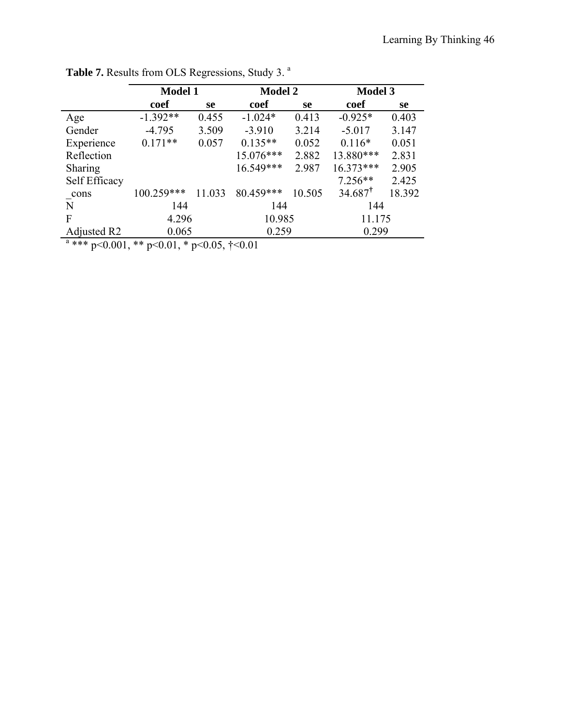|                | <b>Model 1</b> |               | <b>Model 2</b> |               | <b>Model 3</b>     |        |  |
|----------------|----------------|---------------|----------------|---------------|--------------------|--------|--|
|                | coef           | <sub>se</sub> | coef           | <sub>se</sub> | coef               | se     |  |
| Age            | $-1.392**$     | 0.455         | $-1.024*$      | 0.413         | $-0.925*$          | 0.403  |  |
| Gender         | $-4.795$       | 3.509         | $-3.910$       | 3.214         | $-5.017$           | 3.147  |  |
| Experience     | $0.171**$      | 0.057         | $0.135**$      | 0.052         | $0.116*$           | 0.051  |  |
| Reflection     |                |               | $15.076***$    | 2.882         | 13.880***          | 2.831  |  |
| <b>Sharing</b> |                |               | 16.549***      | 2.987         | $16.373***$        | 2.905  |  |
| Self Efficacy  |                |               |                |               | $7.256**$          | 2.425  |  |
| cons           | 100.259***     | 11.033        | 80.459***      | 10.505        | $34.687^{\dagger}$ | 18.392 |  |
| N              | 144            |               | 144            |               | 144                |        |  |
| $\mathbf F$    | 4.296          |               | 10.985         |               | 11.175             |        |  |
| Adjusted R2    | 0.065          |               |                | 0.259         |                    | 0.299  |  |
|                |                |               |                |               |                    |        |  |

Table 7. Results from OLS Regressions, Study 3.<sup>a</sup>

<sup>a</sup> \*\*\* p<0.001, \*\* p<0.01, \* p<0.05,  $\uparrow$  <0.01